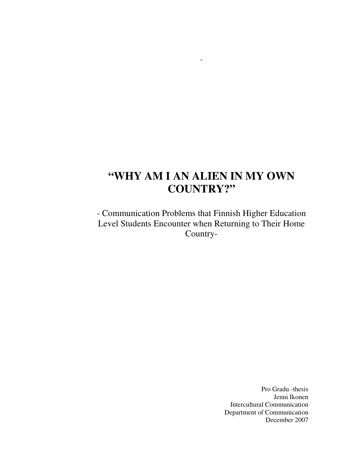# **"WHY AM I AN ALIEN IN MY OWN COUNTRY?"**

*-* 

- Communication Problems that Finnish Higher Education Level Students Encounter when Returning to Their Home Country-

> Pro Gradu -thesis Jenni Ikonen Intercultural Communication Department of Communication December 2007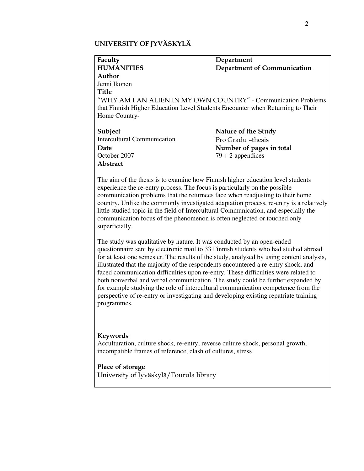## UNIVERSITY OF JYVÄSKYLÄ

| Faculty                                                                        | Department                  |
|--------------------------------------------------------------------------------|-----------------------------|
| <b>HUMANITIES</b>                                                              | Department of Communication |
| Author                                                                         |                             |
| Jenni Ikonen                                                                   |                             |
| <b>Title</b>                                                                   |                             |
| "WHY AM I AN ALIEN IN MY OWN COUNTRY" - Communication Problems                 |                             |
| that Finnish Higher Education Level Students Encounter when Returning to Their |                             |
| Home Country-                                                                  |                             |
|                                                                                |                             |
| Subject                                                                        | Nature of the Study         |
| <b>Intercultural Communication</b>                                             | Pro Gradu -thesis           |
| Date                                                                           | Number of pages in total    |
| October 2007                                                                   | $79 + 2$ appendices         |
| Abstract                                                                       |                             |

The aim of the thesis is to examine how Finnish higher education level students experience the re-entry process. The focus is particularly on the possible communication problems that the returnees face when readjusting to their home country. Unlike the commonly investigated adaptation process, re-entry is a relatively little studied topic in the field of Intercultural Communication, and especially the communication focus of the phenomenon is often neglected or touched only superficially.

The study was qualitative by nature. It was conducted by an open-ended questionnaire sent by electronic mail to 33 Finnish students who had studied abroad for at least one semester. The results of the study, analysed by using content analysis, illustrated that the majority of the respondents encountered a re-entry shock, and faced communication difficulties upon re-entry. These difficulties were related to both nonverbal and verbal communication. The study could be further expanded by for example studying the role of intercultural communication competence from the perspective of re-entry or investigating and developing existing repatriate training programmes.

### Keywords

Acculturation, culture shock, re-entry, reverse culture shock, personal growth, incompatible frames of reference, clash of cultures, stress

## Place of storage

University of Jyväskylä/Tourula library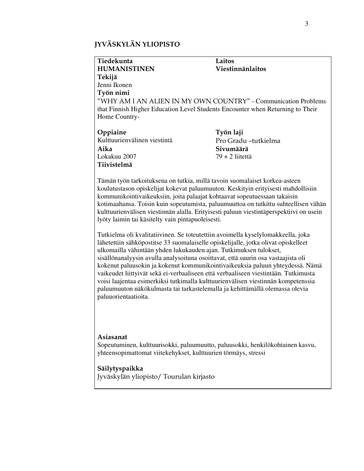## JYVÄSKYLÄN YLIOPISTO

| Tiedekunta                                                                                                                                                      | Laitos               |
|-----------------------------------------------------------------------------------------------------------------------------------------------------------------|----------------------|
| <b>HUMANISTINEN</b>                                                                                                                                             | Viestinnänlaitos     |
| Tekijä                                                                                                                                                          |                      |
| Jenni Ikonen                                                                                                                                                    |                      |
| Työn nimi                                                                                                                                                       |                      |
| "WHY AM I AN ALIEN IN MY OWN COUNTRY" - Communication Problems                                                                                                  |                      |
| that Finnish Higher Education Level Students Encounter when Returning to Their                                                                                  |                      |
| Home Country-                                                                                                                                                   |                      |
| Oppiaine                                                                                                                                                        | Työn laji            |
| Kulttuurienvälinen viestintä                                                                                                                                    | Pro Gradu -tutkielma |
| Aika                                                                                                                                                            | Sivumäärä            |
| Lokakuu 2007                                                                                                                                                    | $79 + 2$ liitettä    |
| Tiivistelmä                                                                                                                                                     |                      |
| Tämän työn tarkoituksena on tutkia, millä tavoin suomalaiset korkea-asteen<br>koulutustason opiskelijat kokevat paluumuuton. Keskityin erityisesti mahdollisiin |                      |
| kommunikointivaikeuksiin, joita palaajat kohtaavat sopeutuessaan takaisin                                                                                       |                      |
| kotimaahansa. Toisin kuin sopeutumista, paluumuuttoa on tutkittu suhteellisen vähän                                                                             |                      |

Tutkielma oli kvalitatiivinen. Se toteutettiin avoimella kyselylomakkeella, joka lähetettiin sähköpostitse 33 suomalaiselle opiskelijalle, jotka olivat opiskelleet ulkomailla vähintään yhden lukukauden ajan. Tutkimuksen tulokset, sisällönanalyysin avulla analysoituna osoittavat, että suurin osa vastaajista oli kokenut paluusokin ja kokenut kommunikointivaikeuksia paluun yhteydessä. Nämä vaikeudet liittyivät sekä ei-verbaaliseen että verbaaliseen viestintään. Tutkimusta voisi laajentaa esimerkiksi tutkimalla kulttuurienvälisen viestinnän kompetenssia paluumuuton näkökulmasta tai tarkastelemalla ja kehittämällä olemassa olevia paluuorientaatioita.

kulttuurienvälisen viestinnän alalla. Erityisesti paluun viestintäperspektiivi on usein

## Asiasanat

Sopeutuminen, kulttuurisokki, paluumuutto, paluusokki, henkilökohtainen kasvu, yhteensopimattomat viitekehykset, kulttuurien törmäys, stressi

## Säilytyspaikka

Jyväskylän yliopisto/ Tourulan kirjasto

lyöty laimin tai käsitelty vain pintapuoleisesti.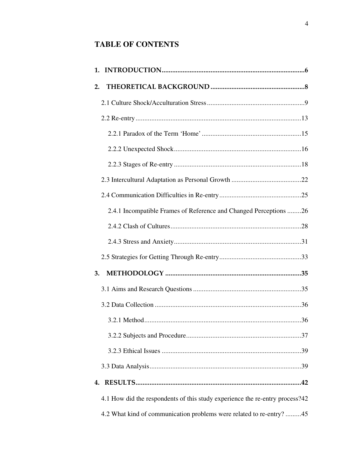## **TABLE OF CONTENTS**

| 1.                                                                           |
|------------------------------------------------------------------------------|
| 2.                                                                           |
|                                                                              |
|                                                                              |
|                                                                              |
|                                                                              |
|                                                                              |
|                                                                              |
|                                                                              |
| 2.4.1 Incompatible Frames of Reference and Changed Perceptions 26            |
|                                                                              |
|                                                                              |
|                                                                              |
| 3.                                                                           |
|                                                                              |
|                                                                              |
|                                                                              |
|                                                                              |
|                                                                              |
|                                                                              |
| 4.                                                                           |
| 4.1 How did the respondents of this study experience the re-entry process?42 |
| 4.2 What kind of communication problems were related to re-entry? 45         |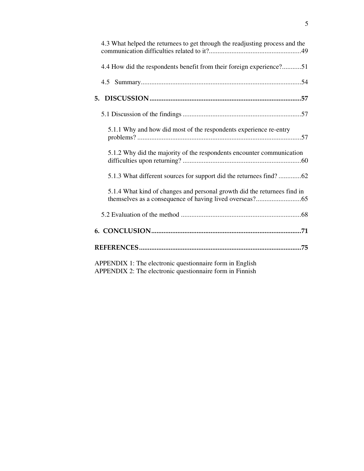| 4.3 What helped the returnees to get through the readjusting process and the                                         |
|----------------------------------------------------------------------------------------------------------------------|
| 4.4 How did the respondents benefit from their foreign experience?51                                                 |
|                                                                                                                      |
|                                                                                                                      |
|                                                                                                                      |
| 5.1.1 Why and how did most of the respondents experience re-entry                                                    |
| 5.1.2 Why did the majority of the respondents encounter communication                                                |
| 5.1.3 What different sources for support did the returnees find?62                                                   |
| 5.1.4 What kind of changes and personal growth did the returnees find in                                             |
|                                                                                                                      |
|                                                                                                                      |
|                                                                                                                      |
| APPENDIX 1: The electronic questionnaire form in English<br>APPENDIX 2: The electronic questionnaire form in Finnish |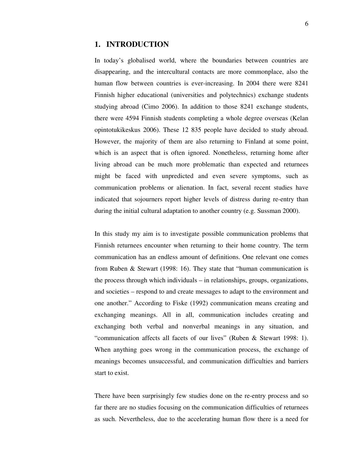## **1. INTRODUCTION**

In today's globalised world, where the boundaries between countries are disappearing, and the intercultural contacts are more commonplace, also the human flow between countries is ever-increasing. In 2004 there were 8241 Finnish higher educational (universities and polytechnics) exchange students studying abroad (Cimo 2006). In addition to those 8241 exchange students, there were 4594 Finnish students completing a whole degree overseas (Kelan opintotukikeskus 2006). These 12 835 people have decided to study abroad. However, the majority of them are also returning to Finland at some point, which is an aspect that is often ignored. Nonetheless, returning home after living abroad can be much more problematic than expected and returnees might be faced with unpredicted and even severe symptoms, such as communication problems or alienation. In fact, several recent studies have indicated that sojourners report higher levels of distress during re-entry than during the initial cultural adaptation to another country (e.g. Sussman 2000).

In this study my aim is to investigate possible communication problems that Finnish returnees encounter when returning to their home country. The term communication has an endless amount of definitions. One relevant one comes from Ruben & Stewart (1998: 16). They state that "human communication is the process through which individuals – in relationships, groups, organizations, and societies – respond to and create messages to adapt to the environment and one another." According to Fiske (1992) communication means creating and exchanging meanings. All in all, communication includes creating and exchanging both verbal and nonverbal meanings in any situation, and "communication affects all facets of our lives" (Ruben & Stewart 1998: 1). When anything goes wrong in the communication process, the exchange of meanings becomes unsuccessful, and communication difficulties and barriers start to exist.

There have been surprisingly few studies done on the re-entry process and so far there are no studies focusing on the communication difficulties of returnees as such. Nevertheless, due to the accelerating human flow there is a need for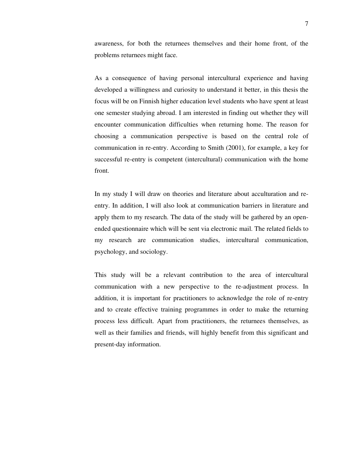awareness, for both the returnees themselves and their home front, of the problems returnees might face.

As a consequence of having personal intercultural experience and having developed a willingness and curiosity to understand it better, in this thesis the focus will be on Finnish higher education level students who have spent at least one semester studying abroad. I am interested in finding out whether they will encounter communication difficulties when returning home. The reason for choosing a communication perspective is based on the central role of communication in re-entry. According to Smith (2001), for example, a key for successful re-entry is competent (intercultural) communication with the home front.

In my study I will draw on theories and literature about acculturation and reentry. In addition, I will also look at communication barriers in literature and apply them to my research. The data of the study will be gathered by an openended questionnaire which will be sent via electronic mail. The related fields to my research are communication studies, intercultural communication, psychology, and sociology.

This study will be a relevant contribution to the area of intercultural communication with a new perspective to the re-adjustment process. In addition, it is important for practitioners to acknowledge the role of re-entry and to create effective training programmes in order to make the returning process less difficult. Apart from practitioners, the returnees themselves, as well as their families and friends, will highly benefit from this significant and present-day information.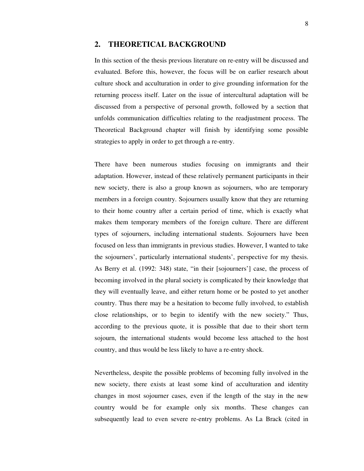## **2. THEORETICAL BACKGROUND**

In this section of the thesis previous literature on re-entry will be discussed and evaluated. Before this, however, the focus will be on earlier research about culture shock and acculturation in order to give grounding information for the returning process itself. Later on the issue of intercultural adaptation will be discussed from a perspective of personal growth, followed by a section that unfolds communication difficulties relating to the readjustment process. The Theoretical Background chapter will finish by identifying some possible strategies to apply in order to get through a re-entry.

There have been numerous studies focusing on immigrants and their adaptation. However, instead of these relatively permanent participants in their new society, there is also a group known as sojourners, who are temporary members in a foreign country. Sojourners usually know that they are returning to their home country after a certain period of time, which is exactly what makes them temporary members of the foreign culture. There are different types of sojourners, including international students. Sojourners have been focused on less than immigrants in previous studies. However, I wanted to take the sojourners', particularly international students', perspective for my thesis. As Berry et al. (1992: 348) state, "in their [sojourners'] case, the process of becoming involved in the plural society is complicated by their knowledge that they will eventually leave, and either return home or be posted to yet another country. Thus there may be a hesitation to become fully involved, to establish close relationships, or to begin to identify with the new society." Thus, according to the previous quote, it is possible that due to their short term sojourn, the international students would become less attached to the host country, and thus would be less likely to have a re-entry shock.

Nevertheless, despite the possible problems of becoming fully involved in the new society, there exists at least some kind of acculturation and identity changes in most sojourner cases, even if the length of the stay in the new country would be for example only six months. These changes can subsequently lead to even severe re-entry problems. As La Brack (cited in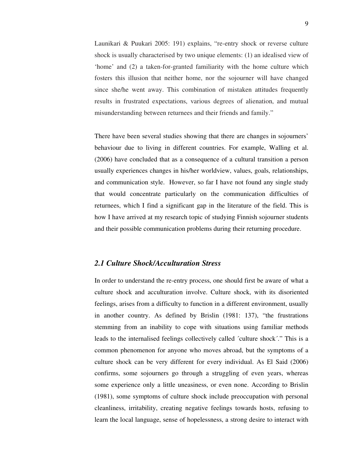Launikari & Puukari 2005: 191) explains, "re-entry shock or reverse culture shock is usually characterised by two unique elements: (1) an idealised view of 'home' and (2) a taken-for-granted familiarity with the home culture which fosters this illusion that neither home, nor the sojourner will have changed since she/he went away. This combination of mistaken attitudes frequently results in frustrated expectations, various degrees of alienation, and mutual misunderstanding between returnees and their friends and family."

There have been several studies showing that there are changes in sojourners' behaviour due to living in different countries. For example, Walling et al. (2006) have concluded that as a consequence of a cultural transition a person usually experiences changes in his/her worldview, values, goals, relationships, and communication style. However, so far I have not found any single study that would concentrate particularly on the communication difficulties of returnees, which I find a significant gap in the literature of the field. This is how I have arrived at my research topic of studying Finnish sojourner students and their possible communication problems during their returning procedure.

## *2.1 Culture Shock/Acculturation Stress*

In order to understand the re-entry process, one should first be aware of what a culture shock and acculturation involve. Culture shock, with its disoriented feelings, arises from a difficulty to function in a different environment, usually in another country. As defined by Brislin (1981: 137), "the frustrations stemming from an inability to cope with situations using familiar methods leads to the internalised feelings collectively called ´culture shock´." This is a common phenomenon for anyone who moves abroad, but the symptoms of a culture shock can be very different for every individual. As El Said (2006) confirms, some sojourners go through a struggling of even years, whereas some experience only a little uneasiness, or even none. According to Brislin (1981), some symptoms of culture shock include preoccupation with personal cleanliness, irritability, creating negative feelings towards hosts, refusing to learn the local language, sense of hopelessness, a strong desire to interact with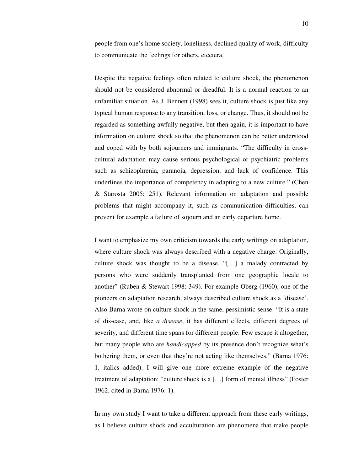people from one's home society, loneliness, declined quality of work, difficulty to communicate the feelings for others, etcetera.

Despite the negative feelings often related to culture shock, the phenomenon should not be considered abnormal or dreadful. It is a normal reaction to an unfamiliar situation. As J. Bennett (1998) sees it, culture shock is just like any typical human response to any transition, loss, or change. Thus, it should not be regarded as something awfully negative, but then again, it is important to have information on culture shock so that the phenomenon can be better understood and coped with by both sojourners and immigrants. "The difficulty in crosscultural adaptation may cause serious psychological or psychiatric problems such as schizophrenia, paranoia, depression, and lack of confidence. This underlines the importance of competency in adapting to a new culture." (Chen & Starosta 2005: 251). Relevant information on adaptation and possible problems that might accompany it, such as communication difficulties, can prevent for example a failure of sojourn and an early departure home.

I want to emphasize my own criticism towards the early writings on adaptation, where culture shock was always described with a negative charge. Originally, culture shock was thought to be a disease, "[…] a malady contracted by persons who were suddenly transplanted from one geographic locale to another" (Ruben & Stewart 1998: 349). For example Oberg (1960), one of the pioneers on adaptation research, always described culture shock as a 'disease'. Also Barna wrote on culture shock in the same, pessimistic sense: "It is a state of dis-ease, and, like *a disease*, it has different effects, different degrees of severity, and different time spans for different people. Few escape it altogether, but many people who are *handicapped* by its presence don't recognize what's bothering them, or even that they're not acting like themselves." (Barna 1976: 1, italics added). I will give one more extreme example of the negative treatment of adaptation: "culture shock is a […] form of mental illness" (Foster 1962, cited in Barna 1976: 1).

In my own study I want to take a different approach from these early writings, as I believe culture shock and acculturation are phenomena that make people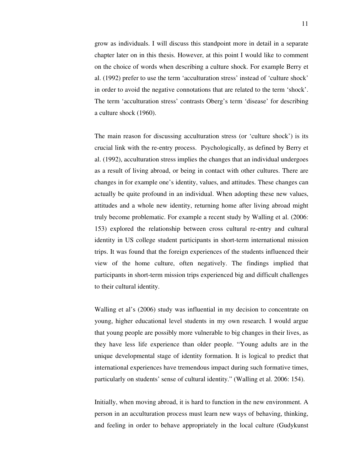grow as individuals. I will discuss this standpoint more in detail in a separate chapter later on in this thesis. However, at this point I would like to comment on the choice of words when describing a culture shock. For example Berry et al. (1992) prefer to use the term 'acculturation stress' instead of 'culture shock' in order to avoid the negative connotations that are related to the term 'shock'. The term 'acculturation stress' contrasts Oberg's term 'disease' for describing a culture shock (1960).

The main reason for discussing acculturation stress (or 'culture shock') is its crucial link with the re-entry process. Psychologically, as defined by Berry et al. (1992), acculturation stress implies the changes that an individual undergoes as a result of living abroad, or being in contact with other cultures. There are changes in for example one's identity, values, and attitudes. These changes can actually be quite profound in an individual. When adopting these new values, attitudes and a whole new identity, returning home after living abroad might truly become problematic. For example a recent study by Walling et al. (2006: 153) explored the relationship between cross cultural re-entry and cultural identity in US college student participants in short-term international mission trips. It was found that the foreign experiences of the students influenced their view of the home culture, often negatively. The findings implied that participants in short-term mission trips experienced big and difficult challenges to their cultural identity.

Walling et al's (2006) study was influential in my decision to concentrate on young, higher educational level students in my own research. I would argue that young people are possibly more vulnerable to big changes in their lives, as they have less life experience than older people. "Young adults are in the unique developmental stage of identity formation. It is logical to predict that international experiences have tremendous impact during such formative times, particularly on students' sense of cultural identity." (Walling et al. 2006: 154).

Initially, when moving abroad, it is hard to function in the new environment. A person in an acculturation process must learn new ways of behaving, thinking, and feeling in order to behave appropriately in the local culture (Gudykunst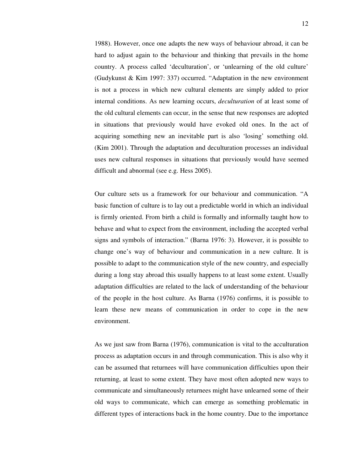1988). However, once one adapts the new ways of behaviour abroad, it can be hard to adjust again to the behaviour and thinking that prevails in the home country. A process called 'deculturation', or 'unlearning of the old culture' (Gudykunst & Kim 1997: 337) occurred. "Adaptation in the new environment is not a process in which new cultural elements are simply added to prior internal conditions. As new learning occurs, *deculturation* of at least some of the old cultural elements can occur, in the sense that new responses are adopted in situations that previously would have evoked old ones. In the act of acquiring something new an inevitable part is also 'losing' something old. (Kim 2001). Through the adaptation and deculturation processes an individual uses new cultural responses in situations that previously would have seemed difficult and abnormal (see e.g. Hess 2005).

Our culture sets us a framework for our behaviour and communication. "A basic function of culture is to lay out a predictable world in which an individual is firmly oriented. From birth a child is formally and informally taught how to behave and what to expect from the environment, including the accepted verbal signs and symbols of interaction." (Barna 1976: 3). However, it is possible to change one's way of behaviour and communication in a new culture. It is possible to adapt to the communication style of the new country, and especially during a long stay abroad this usually happens to at least some extent. Usually adaptation difficulties are related to the lack of understanding of the behaviour of the people in the host culture. As Barna (1976) confirms, it is possible to learn these new means of communication in order to cope in the new environment.

As we just saw from Barna (1976), communication is vital to the acculturation process as adaptation occurs in and through communication. This is also why it can be assumed that returnees will have communication difficulties upon their returning, at least to some extent. They have most often adopted new ways to communicate and simultaneously returnees might have unlearned some of their old ways to communicate, which can emerge as something problematic in different types of interactions back in the home country. Due to the importance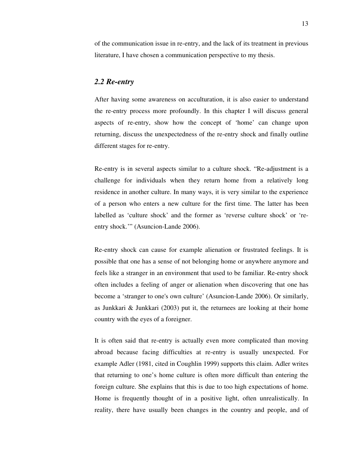of the communication issue in re-entry, and the lack of its treatment in previous literature, I have chosen a communication perspective to my thesis.

## *2.2 Re-entry*

After having some awareness on acculturation, it is also easier to understand the re-entry process more profoundly. In this chapter I will discuss general aspects of re-entry, show how the concept of 'home' can change upon returning, discuss the unexpectedness of the re-entry shock and finally outline different stages for re-entry.

Re-entry is in several aspects similar to a culture shock. "Re-adjustment is a challenge for individuals when they return home from a relatively long residence in another culture. In many ways, it is very similar to the experience of a person who enters a new culture for the first time. The latter has been labelled as 'culture shock' and the former as 'reverse culture shock' or 'reentry shock.'" (Asuncion-Lande 2006).

Re-entry shock can cause for example alienation or frustrated feelings. It is possible that one has a sense of not belonging home or anywhere anymore and feels like a stranger in an environment that used to be familiar. Re-entry shock often includes a feeling of anger or alienation when discovering that one has become a 'stranger to one's own culture' (Asuncion-Lande 2006). Or similarly, as Junkkari & Junkkari (2003) put it, the returnees are looking at their home country with the eyes of a foreigner.

It is often said that re-entry is actually even more complicated than moving abroad because facing difficulties at re-entry is usually unexpected. For example Adler (1981, cited in Coughlin 1999) supports this claim. Adler writes that returning to one's home culture is often more difficult than entering the foreign culture. She explains that this is due to too high expectations of home. Home is frequently thought of in a positive light, often unrealistically. In reality, there have usually been changes in the country and people, and of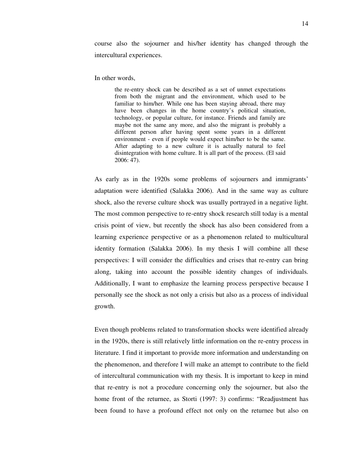course also the sojourner and his/her identity has changed through the intercultural experiences.

In other words,

 the re-entry shock can be described as a set of unmet expectations from both the migrant and the environment, which used to be familiar to him/her. While one has been staying abroad, there may have been changes in the home country's political situation, technology, or popular culture, for instance. Friends and family are maybe not the same any more, and also the migrant is probably a different person after having spent some years in a different environment - even if people would expect him/her to be the same. After adapting to a new culture it is actually natural to feel disintegration with home culture. It is all part of the process. (El said 2006: 47).

As early as in the 1920s some problems of sojourners and immigrants' adaptation were identified (Salakka 2006). And in the same way as culture shock, also the reverse culture shock was usually portrayed in a negative light. The most common perspective to re-entry shock research still today is a mental crisis point of view, but recently the shock has also been considered from a learning experience perspective or as a phenomenon related to multicultural identity formation (Salakka 2006). In my thesis I will combine all these perspectives: I will consider the difficulties and crises that re-entry can bring along, taking into account the possible identity changes of individuals. Additionally, I want to emphasize the learning process perspective because I personally see the shock as not only a crisis but also as a process of individual growth.

Even though problems related to transformation shocks were identified already in the 1920s, there is still relatively little information on the re-entry process in literature. I find it important to provide more information and understanding on the phenomenon, and therefore I will make an attempt to contribute to the field of intercultural communication with my thesis. It is important to keep in mind that re-entry is not a procedure concerning only the sojourner, but also the home front of the returnee, as Storti (1997: 3) confirms: "Readjustment has been found to have a profound effect not only on the returnee but also on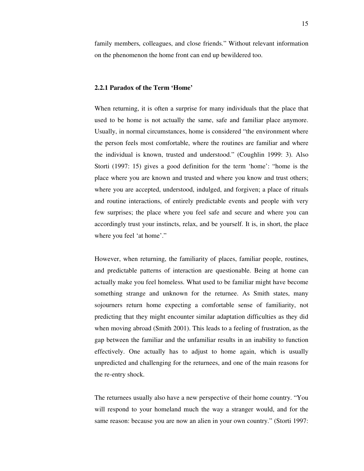family members, colleagues, and close friends." Without relevant information on the phenomenon the home front can end up bewildered too.

#### **2.2.1 Paradox of the Term 'Home'**

When returning, it is often a surprise for many individuals that the place that used to be home is not actually the same, safe and familiar place anymore. Usually, in normal circumstances, home is considered "the environment where the person feels most comfortable, where the routines are familiar and where the individual is known, trusted and understood." (Coughlin 1999: 3). Also Storti (1997: 15) gives a good definition for the term 'home': "home is the place where you are known and trusted and where you know and trust others; where you are accepted, understood, indulged, and forgiven; a place of rituals and routine interactions, of entirely predictable events and people with very few surprises; the place where you feel safe and secure and where you can accordingly trust your instincts, relax, and be yourself. It is, in short, the place where you feel 'at home'."

However, when returning, the familiarity of places, familiar people, routines, and predictable patterns of interaction are questionable. Being at home can actually make you feel homeless. What used to be familiar might have become something strange and unknown for the returnee. As Smith states, many sojourners return home expecting a comfortable sense of familiarity, not predicting that they might encounter similar adaptation difficulties as they did when moving abroad (Smith 2001). This leads to a feeling of frustration, as the gap between the familiar and the unfamiliar results in an inability to function effectively. One actually has to adjust to home again, which is usually unpredicted and challenging for the returnees, and one of the main reasons for the re-entry shock.

The returnees usually also have a new perspective of their home country. "You will respond to your homeland much the way a stranger would, and for the same reason: because you are now an alien in your own country." (Storti 1997: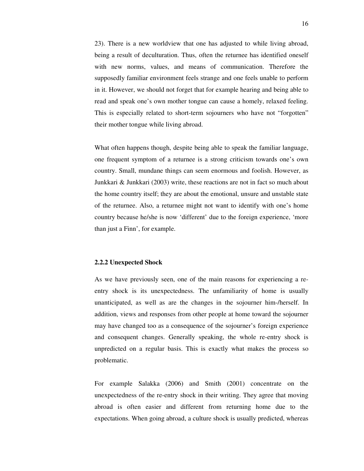23). There is a new worldview that one has adjusted to while living abroad, being a result of deculturation. Thus, often the returnee has identified oneself with new norms, values, and means of communication. Therefore the supposedly familiar environment feels strange and one feels unable to perform in it. However, we should not forget that for example hearing and being able to read and speak one's own mother tongue can cause a homely, relaxed feeling. This is especially related to short-term sojourners who have not "forgotten" their mother tongue while living abroad.

What often happens though, despite being able to speak the familiar language, one frequent symptom of a returnee is a strong criticism towards one's own country. Small, mundane things can seem enormous and foolish. However, as Junkkari & Junkkari (2003) write, these reactions are not in fact so much about the home country itself; they are about the emotional, unsure and unstable state of the returnee. Also, a returnee might not want to identify with one's home country because he/she is now 'different' due to the foreign experience, 'more than just a Finn', for example.

#### **2.2.2 Unexpected Shock**

As we have previously seen, one of the main reasons for experiencing a reentry shock is its unexpectedness. The unfamiliarity of home is usually unanticipated, as well as are the changes in the sojourner him-/herself. In addition, views and responses from other people at home toward the sojourner may have changed too as a consequence of the sojourner's foreign experience and consequent changes. Generally speaking, the whole re-entry shock is unpredicted on a regular basis. This is exactly what makes the process so problematic.

For example Salakka (2006) and Smith (2001) concentrate on the unexpectedness of the re-entry shock in their writing. They agree that moving abroad is often easier and different from returning home due to the expectations. When going abroad, a culture shock is usually predicted, whereas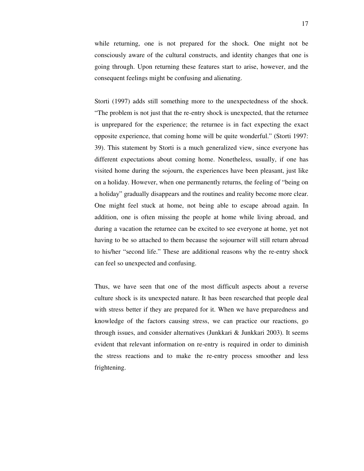while returning, one is not prepared for the shock. One might not be consciously aware of the cultural constructs, and identity changes that one is going through. Upon returning these features start to arise, however, and the consequent feelings might be confusing and alienating.

Storti (1997) adds still something more to the unexpectedness of the shock. "The problem is not just that the re-entry shock is unexpected, that the returnee is unprepared for the experience; the returnee is in fact expecting the exact opposite experience, that coming home will be quite wonderful." (Storti 1997: 39). This statement by Storti is a much generalized view, since everyone has different expectations about coming home. Nonetheless, usually, if one has visited home during the sojourn, the experiences have been pleasant, just like on a holiday. However, when one permanently returns, the feeling of "being on a holiday" gradually disappears and the routines and reality become more clear. One might feel stuck at home, not being able to escape abroad again. In addition, one is often missing the people at home while living abroad, and during a vacation the returnee can be excited to see everyone at home, yet not having to be so attached to them because the sojourner will still return abroad to his/her "second life." These are additional reasons why the re-entry shock can feel so unexpected and confusing.

Thus, we have seen that one of the most difficult aspects about a reverse culture shock is its unexpected nature. It has been researched that people deal with stress better if they are prepared for it. When we have preparedness and knowledge of the factors causing stress, we can practice our reactions, go through issues, and consider alternatives (Junkkari & Junkkari 2003). It seems evident that relevant information on re-entry is required in order to diminish the stress reactions and to make the re-entry process smoother and less frightening.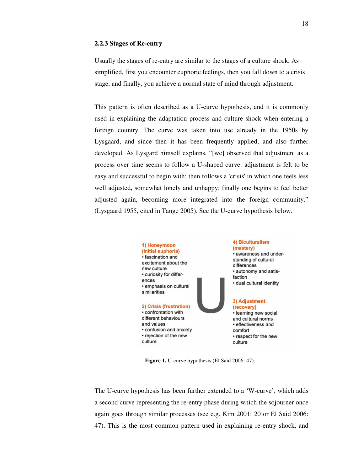#### **2.2.3 Stages of Re-entry**

Usually the stages of re-entry are similar to the stages of a culture shock. As simplified, first you encounter euphoric feelings, then you fall down to a crisis stage, and finally, you achieve a normal state of mind through adjustment.

This pattern is often described as a U-curve hypothesis, and it is commonly used in explaining the adaptation process and culture shock when entering a foreign country. The curve was taken into use already in the 1950s by Lysgaard, and since then it has been frequently applied, and also further developed. As Lysgard himself explains, "[we] observed that adjustment as a process over time seems to follow a U-shaped curve: adjustment is felt to be easy and successful to begin with; then follows a 'crisis' in which one feels less well adjusted, somewhat lonely and unhappy; finally one begins to feel better adjusted again, becoming more integrated into the foreign community." (Lysgaard 1955, cited in Tange 2005). See the U-curve hypothesis below.



 **Figure 1.** U-curve hypothesis (El Said 2006: 47).

The U-curve hypothesis has been further extended to a 'W-curve', which adds a second curve representing the re-entry phase during which the sojourner once again goes through similar processes (see e.g. Kim 2001: 20 or El Said 2006: 47). This is the most common pattern used in explaining re-entry shock, and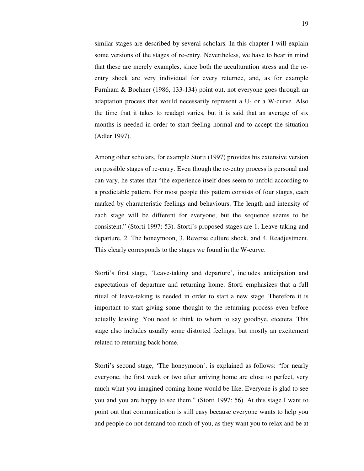similar stages are described by several scholars. In this chapter I will explain some versions of the stages of re-entry. Nevertheless, we have to bear in mind that these are merely examples, since both the acculturation stress and the reentry shock are very individual for every returnee, and, as for example Furnham & Bochner (1986, 133-134) point out, not everyone goes through an adaptation process that would necessarily represent a U- or a W-curve. Also the time that it takes to readapt varies, but it is said that an average of six months is needed in order to start feeling normal and to accept the situation (Adler 1997).

Among other scholars, for example Storti (1997) provides his extensive version on possible stages of re-entry. Even though the re-entry process is personal and can vary, he states that "the experience itself does seem to unfold according to a predictable pattern. For most people this pattern consists of four stages, each marked by characteristic feelings and behaviours. The length and intensity of each stage will be different for everyone, but the sequence seems to be consistent." (Storti 1997: 53). Storti's proposed stages are 1. Leave-taking and departure, 2. The honeymoon, 3. Reverse culture shock, and 4. Readjustment. This clearly corresponds to the stages we found in the W-curve.

Storti's first stage, 'Leave-taking and departure', includes anticipation and expectations of departure and returning home. Storti emphasizes that a full ritual of leave-taking is needed in order to start a new stage. Therefore it is important to start giving some thought to the returning process even before actually leaving. You need to think to whom to say goodbye, etcetera. This stage also includes usually some distorted feelings, but mostly an excitement related to returning back home.

Storti's second stage, 'The honeymoon', is explained as follows: "for nearly everyone, the first week or two after arriving home are close to perfect, very much what you imagined coming home would be like. Everyone is glad to see you and you are happy to see them." (Storti 1997: 56). At this stage I want to point out that communication is still easy because everyone wants to help you and people do not demand too much of you, as they want you to relax and be at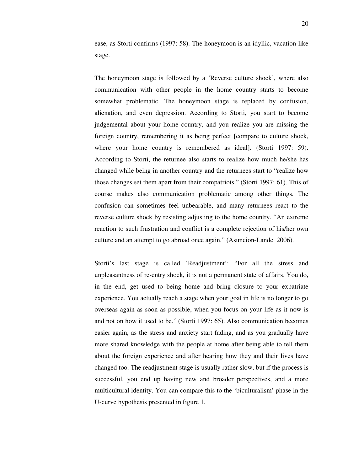ease, as Storti confirms (1997: 58). The honeymoon is an idyllic, vacation-like stage.

The honeymoon stage is followed by a 'Reverse culture shock', where also communication with other people in the home country starts to become somewhat problematic. The honeymoon stage is replaced by confusion, alienation, and even depression. According to Storti, you start to become judgemental about your home country, and you realize you are missing the foreign country, remembering it as being perfect [compare to culture shock, where your home country is remembered as ideal]. (Storti 1997: 59). According to Storti, the returnee also starts to realize how much he/she has changed while being in another country and the returnees start to "realize how those changes set them apart from their compatriots." (Storti 1997: 61). This of course makes also communication problematic among other things. The confusion can sometimes feel unbearable, and many returnees react to the reverse culture shock by resisting adjusting to the home country. "An extreme reaction to such frustration and conflict is a complete rejection of his/her own culture and an attempt to go abroad once again." (Asuncion-Lande 2006).

Storti's last stage is called 'Readjustment': "For all the stress and unpleasantness of re-entry shock, it is not a permanent state of affairs. You do, in the end, get used to being home and bring closure to your expatriate experience. You actually reach a stage when your goal in life is no longer to go overseas again as soon as possible, when you focus on your life as it now is and not on how it used to be." (Storti 1997: 65). Also communication becomes easier again, as the stress and anxiety start fading, and as you gradually have more shared knowledge with the people at home after being able to tell them about the foreign experience and after hearing how they and their lives have changed too. The readjustment stage is usually rather slow, but if the process is successful, you end up having new and broader perspectives, and a more multicultural identity. You can compare this to the 'biculturalism' phase in the U-curve hypothesis presented in figure 1.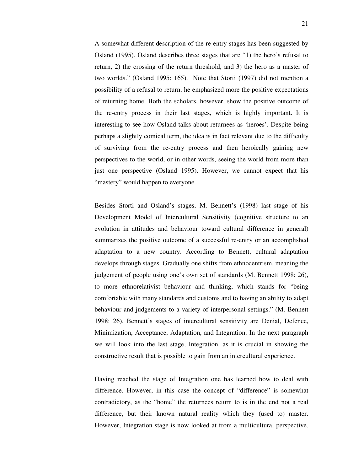A somewhat different description of the re-entry stages has been suggested by Osland (1995). Osland describes three stages that are "1) the hero's refusal to return, 2) the crossing of the return threshold, and 3) the hero as a master of two worlds." (Osland 1995: 165). Note that Storti (1997) did not mention a possibility of a refusal to return, he emphasized more the positive expectations of returning home. Both the scholars, however, show the positive outcome of the re-entry process in their last stages, which is highly important. It is interesting to see how Osland talks about returnees as 'heroes'. Despite being perhaps a slightly comical term, the idea is in fact relevant due to the difficulty of surviving from the re-entry process and then heroically gaining new perspectives to the world, or in other words, seeing the world from more than just one perspective (Osland 1995). However, we cannot expect that his "mastery" would happen to everyone.

Besides Storti and Osland's stages, M. Bennett's (1998) last stage of his Development Model of Intercultural Sensitivity (cognitive structure to an evolution in attitudes and behaviour toward cultural difference in general) summarizes the positive outcome of a successful re-entry or an accomplished adaptation to a new country. According to Bennett, cultural adaptation develops through stages. Gradually one shifts from ethnocentrism, meaning the judgement of people using one's own set of standards (M. Bennett 1998: 26), to more ethnorelativist behaviour and thinking, which stands for "being comfortable with many standards and customs and to having an ability to adapt behaviour and judgements to a variety of interpersonal settings." (M. Bennett 1998: 26). Bennett's stages of intercultural sensitivity are Denial, Defence, Minimization, Acceptance, Adaptation, and Integration. In the next paragraph we will look into the last stage, Integration, as it is crucial in showing the constructive result that is possible to gain from an intercultural experience.

Having reached the stage of Integration one has learned how to deal with difference. However, in this case the concept of "difference" is somewhat contradictory, as the "home" the returnees return to is in the end not a real difference, but their known natural reality which they (used to) master. However, Integration stage is now looked at from a multicultural perspective.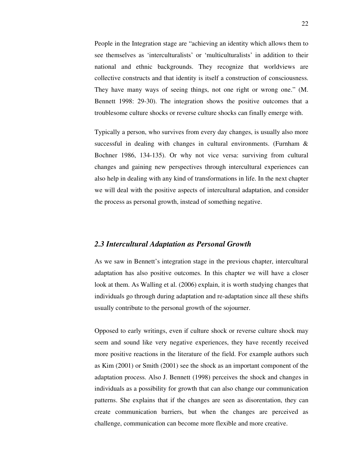People in the Integration stage are "achieving an identity which allows them to see themselves as 'interculturalists' or 'multiculturalists' in addition to their national and ethnic backgrounds. They recognize that worldviews are collective constructs and that identity is itself a construction of consciousness. They have many ways of seeing things, not one right or wrong one." (M. Bennett 1998: 29-30). The integration shows the positive outcomes that a troublesome culture shocks or reverse culture shocks can finally emerge with.

Typically a person, who survives from every day changes, is usually also more successful in dealing with changes in cultural environments. (Furnham & Bochner 1986, 134-135). Or why not vice versa: surviving from cultural changes and gaining new perspectives through intercultural experiences can also help in dealing with any kind of transformations in life. In the next chapter we will deal with the positive aspects of intercultural adaptation, and consider the process as personal growth, instead of something negative.

### *2.3 Intercultural Adaptation as Personal Growth*

As we saw in Bennett's integration stage in the previous chapter, intercultural adaptation has also positive outcomes. In this chapter we will have a closer look at them. As Walling et al. (2006) explain, it is worth studying changes that individuals go through during adaptation and re-adaptation since all these shifts usually contribute to the personal growth of the sojourner.

Opposed to early writings, even if culture shock or reverse culture shock may seem and sound like very negative experiences, they have recently received more positive reactions in the literature of the field. For example authors such as Kim (2001) or Smith (2001) see the shock as an important component of the adaptation process. Also J. Bennett (1998) perceives the shock and changes in individuals as a possibility for growth that can also change our communication patterns. She explains that if the changes are seen as disorentation, they can create communication barriers, but when the changes are perceived as challenge, communication can become more flexible and more creative.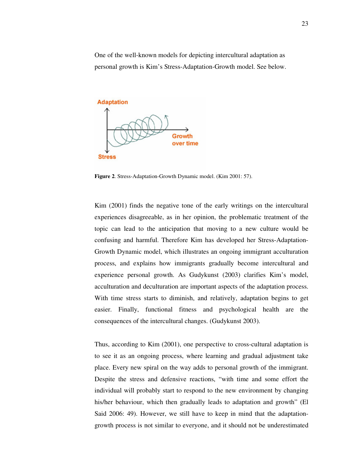One of the well-known models for depicting intercultural adaptation as personal growth is Kim's Stress-Adaptation-Growth model. See below.



**Figure 2**. Stress-Adaptation-Growth Dynamic model. (Kim 2001: 57).

Kim (2001) finds the negative tone of the early writings on the intercultural experiences disagreeable, as in her opinion, the problematic treatment of the topic can lead to the anticipation that moving to a new culture would be confusing and harmful. Therefore Kim has developed her Stress-Adaptation-Growth Dynamic model, which illustrates an ongoing immigrant acculturation process, and explains how immigrants gradually become intercultural and experience personal growth. As Gudykunst (2003) clarifies Kim's model, acculturation and deculturation are important aspects of the adaptation process. With time stress starts to diminish, and relatively, adaptation begins to get easier. Finally, functional fitness and psychological health are the consequences of the intercultural changes. (Gudykunst 2003).

Thus, according to Kim (2001), one perspective to cross-cultural adaptation is to see it as an ongoing process, where learning and gradual adjustment take place. Every new spiral on the way adds to personal growth of the immigrant. Despite the stress and defensive reactions, "with time and some effort the individual will probably start to respond to the new environment by changing his/her behaviour, which then gradually leads to adaptation and growth" (El Said 2006: 49). However, we still have to keep in mind that the adaptationgrowth process is not similar to everyone, and it should not be underestimated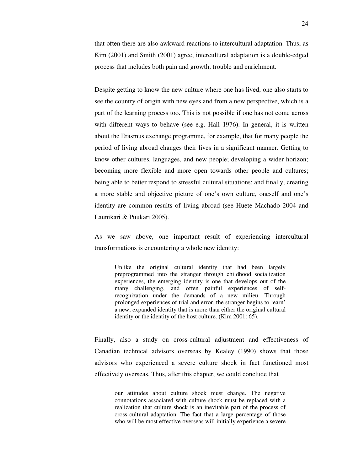that often there are also awkward reactions to intercultural adaptation. Thus, as Kim (2001) and Smith (2001) agree, intercultural adaptation is a double-edged process that includes both pain and growth, trouble and enrichment.

Despite getting to know the new culture where one has lived, one also starts to see the country of origin with new eyes and from a new perspective, which is a part of the learning process too. This is not possible if one has not come across with different ways to behave (see e.g. Hall 1976). In general, it is written about the Erasmus exchange programme, for example, that for many people the period of living abroad changes their lives in a significant manner. Getting to know other cultures, languages, and new people; developing a wider horizon; becoming more flexible and more open towards other people and cultures; being able to better respond to stressful cultural situations; and finally, creating a more stable and objective picture of one's own culture, oneself and one's identity are common results of living abroad (see Huete Machado 2004 and Launikari & Puukari 2005).

As we saw above, one important result of experiencing intercultural transformations is encountering a whole new identity:

Unlike the original cultural identity that had been largely preprogrammed into the stranger through childhood socialization experiences, the emerging identity is one that develops out of the many challenging, and often painful experiences of selfrecognization under the demands of a new milieu. Through prolonged experiences of trial and error, the stranger begins to 'earn' a new, expanded identity that is more than either the original cultural identity or the identity of the host culture. (Kim 2001: 65).

Finally, also a study on cross-cultural adjustment and effectiveness of Canadian technical advisors overseas by Kealey (1990) shows that those advisors who experienced a severe culture shock in fact functioned most effectively overseas. Thus, after this chapter, we could conclude that

our attitudes about culture shock must change. The negative connotations associated with culture shock must be replaced with a realization that culture shock is an inevitable part of the process of cross-cultural adaptation. The fact that a large percentage of those who will be most effective overseas will initially experience a severe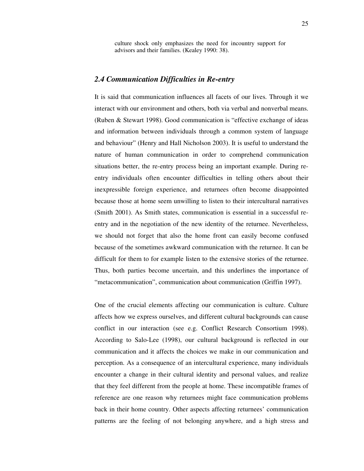culture shock only emphasizes the need for incountry support for advisors and their families. (Kealey 1990: 38).

## *2.4 Communication Difficulties in Re-entry*

It is said that communication influences all facets of our lives. Through it we interact with our environment and others, both via verbal and nonverbal means. (Ruben & Stewart 1998). Good communication is "effective exchange of ideas and information between individuals through a common system of language and behaviour" (Henry and Hall Nicholson 2003). It is useful to understand the nature of human communication in order to comprehend communication situations better, the re-entry process being an important example. During reentry individuals often encounter difficulties in telling others about their inexpressible foreign experience, and returnees often become disappointed because those at home seem unwilling to listen to their intercultural narratives (Smith 2001). As Smith states, communication is essential in a successful reentry and in the negotiation of the new identity of the returnee. Nevertheless, we should not forget that also the home front can easily become confused because of the sometimes awkward communication with the returnee. It can be difficult for them to for example listen to the extensive stories of the returnee. Thus, both parties become uncertain, and this underlines the importance of "metacommunication", communication about communication (Griffin 1997).

One of the crucial elements affecting our communication is culture. Culture affects how we express ourselves, and different cultural backgrounds can cause conflict in our interaction (see e.g. Conflict Research Consortium 1998). According to Salo-Lee (1998), our cultural background is reflected in our communication and it affects the choices we make in our communication and perception. As a consequence of an intercultural experience, many individuals encounter a change in their cultural identity and personal values, and realize that they feel different from the people at home. These incompatible frames of reference are one reason why returnees might face communication problems back in their home country. Other aspects affecting returnees' communication patterns are the feeling of not belonging anywhere, and a high stress and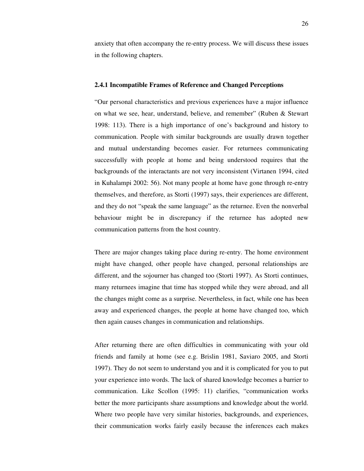anxiety that often accompany the re-entry process. We will discuss these issues in the following chapters.

#### **2.4.1 Incompatible Frames of Reference and Changed Perceptions**

"Our personal characteristics and previous experiences have a major influence on what we see, hear, understand, believe, and remember" (Ruben & Stewart 1998: 113). There is a high importance of one's background and history to communication. People with similar backgrounds are usually drawn together and mutual understanding becomes easier. For returnees communicating successfully with people at home and being understood requires that the backgrounds of the interactants are not very inconsistent (Virtanen 1994, cited in Kuhalampi 2002: 56). Not many people at home have gone through re-entry themselves, and therefore, as Storti (1997) says, their experiences are different, and they do not "speak the same language" as the returnee. Even the nonverbal behaviour might be in discrepancy if the returnee has adopted new communication patterns from the host country.

There are major changes taking place during re-entry. The home environment might have changed, other people have changed, personal relationships are different, and the sojourner has changed too (Storti 1997). As Storti continues, many returnees imagine that time has stopped while they were abroad, and all the changes might come as a surprise. Nevertheless, in fact, while one has been away and experienced changes, the people at home have changed too, which then again causes changes in communication and relationships.

After returning there are often difficulties in communicating with your old friends and family at home (see e.g. Brislin 1981, Saviaro 2005, and Storti 1997). They do not seem to understand you and it is complicated for you to put your experience into words. The lack of shared knowledge becomes a barrier to communication. Like Scollon (1995: 11) clarifies, "communication works better the more participants share assumptions and knowledge about the world. Where two people have very similar histories, backgrounds, and experiences, their communication works fairly easily because the inferences each makes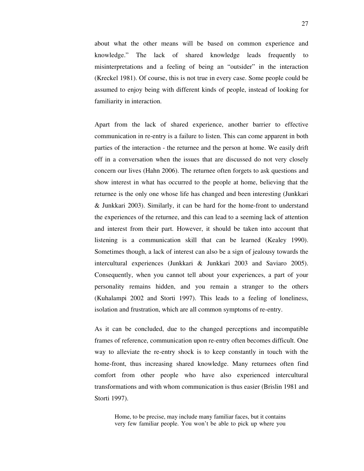about what the other means will be based on common experience and knowledge." The lack of shared knowledge leads frequently to misinterpretations and a feeling of being an "outsider" in the interaction (Kreckel 1981). Of course, this is not true in every case. Some people could be assumed to enjoy being with different kinds of people, instead of looking for familiarity in interaction.

Apart from the lack of shared experience, another barrier to effective communication in re-entry is a failure to listen. This can come apparent in both parties of the interaction - the returnee and the person at home. We easily drift off in a conversation when the issues that are discussed do not very closely concern our lives (Hahn 2006). The returnee often forgets to ask questions and show interest in what has occurred to the people at home, believing that the returnee is the only one whose life has changed and been interesting (Junkkari & Junkkari 2003). Similarly, it can be hard for the home-front to understand the experiences of the returnee, and this can lead to a seeming lack of attention and interest from their part. However, it should be taken into account that listening is a communication skill that can be learned (Kealey 1990). Sometimes though, a lack of interest can also be a sign of jealousy towards the intercultural experiences (Junkkari & Junkkari 2003 and Saviaro 2005). Consequently, when you cannot tell about your experiences, a part of your personality remains hidden, and you remain a stranger to the others (Kuhalampi 2002 and Storti 1997). This leads to a feeling of loneliness, isolation and frustration, which are all common symptoms of re-entry.

As it can be concluded, due to the changed perceptions and incompatible frames of reference, communication upon re-entry often becomes difficult. One way to alleviate the re-entry shock is to keep constantly in touch with the home-front, thus increasing shared knowledge. Many returnees often find comfort from other people who have also experienced intercultural transformations and with whom communication is thus easier (Brislin 1981 and Storti 1997).

Home, to be precise, may include many familiar faces, but it contains very few familiar people. You won't be able to pick up where you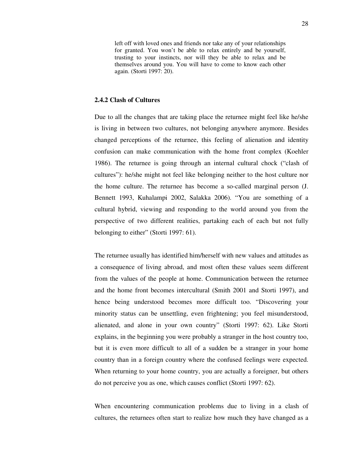left off with loved ones and friends nor take any of your relationships for granted. You won't be able to relax entirely and be yourself, trusting to your instincts, nor will they be able to relax and be themselves around you. You will have to come to know each other again. (Storti 1997: 20).

#### **2.4.2 Clash of Cultures**

Due to all the changes that are taking place the returnee might feel like he/she is living in between two cultures, not belonging anywhere anymore. Besides changed perceptions of the returnee, this feeling of alienation and identity confusion can make communication with the home front complex (Koehler 1986). The returnee is going through an internal cultural chock ("clash of cultures"): he/she might not feel like belonging neither to the host culture nor the home culture. The returnee has become a so-called marginal person (J. Bennett 1993, Kuhalampi 2002, Salakka 2006). "You are something of a cultural hybrid, viewing and responding to the world around you from the perspective of two different realities, partaking each of each but not fully belonging to either" (Storti 1997: 61).

The returnee usually has identified him/herself with new values and attitudes as a consequence of living abroad, and most often these values seem different from the values of the people at home. Communication between the returnee and the home front becomes intercultural (Smith 2001 and Storti 1997), and hence being understood becomes more difficult too. "Discovering your minority status can be unsettling, even frightening; you feel misunderstood, alienated, and alone in your own country" (Storti 1997: 62). Like Storti explains, in the beginning you were probably a stranger in the host country too, but it is even more difficult to all of a sudden be a stranger in your home country than in a foreign country where the confused feelings were expected. When returning to your home country, you are actually a foreigner, but others do not perceive you as one, which causes conflict (Storti 1997: 62).

When encountering communication problems due to living in a clash of cultures, the returnees often start to realize how much they have changed as a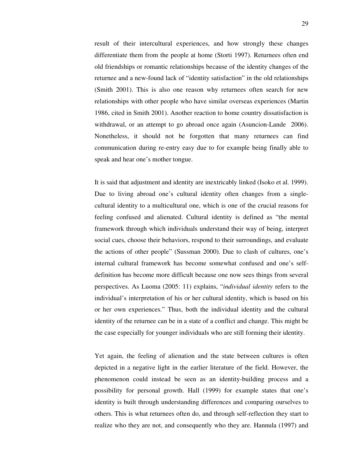result of their intercultural experiences, and how strongly these changes differentiate them from the people at home (Storti 1997). Returnees often end old friendships or romantic relationships because of the identity changes of the returnee and a new-found lack of "identity satisfaction" in the old relationships (Smith 2001). This is also one reason why returnees often search for new relationships with other people who have similar overseas experiences (Martin 1986, cited in Smith 2001). Another reaction to home country dissatisfaction is withdrawal, or an attempt to go abroad once again (Asuncion-Lande 2006). Nonetheless, it should not be forgotten that many returnees can find communication during re-entry easy due to for example being finally able to speak and hear one's mother tongue.

It is said that adjustment and identity are inextricably linked (Isoko et al. 1999). Due to living abroad one's cultural identity often changes from a singlecultural identity to a multicultural one, which is one of the crucial reasons for feeling confused and alienated. Cultural identity is defined as "the mental framework through which individuals understand their way of being, interpret social cues, choose their behaviors, respond to their surroundings, and evaluate the actions of other people" (Sussman 2000). Due to clash of cultures, one's internal cultural framework has become somewhat confused and one's selfdefinition has become more difficult because one now sees things from several perspectives. As Luoma (2005: 11) explains, "*individual identity* refers to the individual's interpretation of his or her cultural identity, which is based on his or her own experiences." Thus, both the individual identity and the cultural identity of the returnee can be in a state of a conflict and change. This might be the case especially for younger individuals who are still forming their identity.

Yet again, the feeling of alienation and the state between cultures is often depicted in a negative light in the earlier literature of the field. However, the phenomenon could instead be seen as an identity-building process and a possibility for personal growth. Hall (1999) for example states that one's identity is built through understanding differences and comparing ourselves to others. This is what returnees often do, and through self-reflection they start to realize who they are not, and consequently who they are. Hannula (1997) and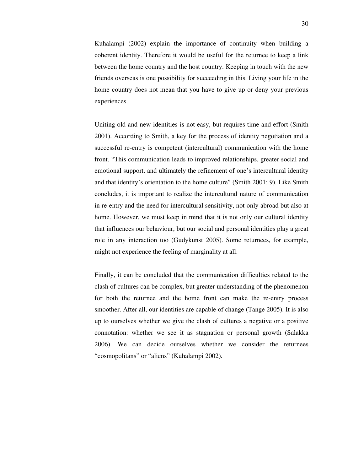Kuhalampi (2002) explain the importance of continuity when building a coherent identity. Therefore it would be useful for the returnee to keep a link between the home country and the host country. Keeping in touch with the new friends overseas is one possibility for succeeding in this. Living your life in the home country does not mean that you have to give up or deny your previous experiences.

Uniting old and new identities is not easy, but requires time and effort (Smith 2001). According to Smith, a key for the process of identity negotiation and a successful re-entry is competent (intercultural) communication with the home front. "This communication leads to improved relationships, greater social and emotional support, and ultimately the refinement of one's intercultural identity and that identity's orientation to the home culture" (Smith 2001: 9). Like Smith concludes, it is important to realize the intercultural nature of communication in re-entry and the need for intercultural sensitivity, not only abroad but also at home. However, we must keep in mind that it is not only our cultural identity that influences our behaviour, but our social and personal identities play a great role in any interaction too (Gudykunst 2005). Some returnees, for example, might not experience the feeling of marginality at all.

Finally, it can be concluded that the communication difficulties related to the clash of cultures can be complex, but greater understanding of the phenomenon for both the returnee and the home front can make the re-entry process smoother. After all, our identities are capable of change (Tange 2005). It is also up to ourselves whether we give the clash of cultures a negative or a positive connotation: whether we see it as stagnation or personal growth (Salakka 2006). We can decide ourselves whether we consider the returnees "cosmopolitans" or "aliens" (Kuhalampi 2002).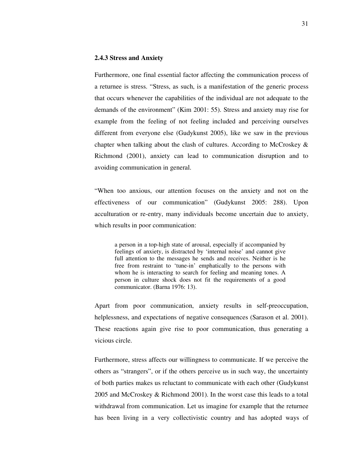#### **2.4.3 Stress and Anxiety**

Furthermore, one final essential factor affecting the communication process of a returnee is stress. "Stress, as such, is a manifestation of the generic process that occurs whenever the capabilities of the individual are not adequate to the demands of the environment" (Kim 2001: 55). Stress and anxiety may rise for example from the feeling of not feeling included and perceiving ourselves different from everyone else (Gudykunst 2005), like we saw in the previous chapter when talking about the clash of cultures. According to McCroskey  $\&$ Richmond (2001), anxiety can lead to communication disruption and to avoiding communication in general.

"When too anxious, our attention focuses on the anxiety and not on the effectiveness of our communication" (Gudykunst 2005: 288). Upon acculturation or re-entry, many individuals become uncertain due to anxiety, which results in poor communication:

a person in a top-high state of arousal, especially if accompanied by feelings of anxiety, is distracted by 'internal noise' and cannot give full attention to the messages he sends and receives. Neither is he free from restraint to 'tune-in' emphatically to the persons with whom he is interacting to search for feeling and meaning tones. A person in culture shock does not fit the requirements of a good communicator. (Barna 1976: 13).

Apart from poor communication, anxiety results in self-preoccupation, helplessness, and expectations of negative consequences (Sarason et al. 2001). These reactions again give rise to poor communication, thus generating a vicious circle.

Furthermore, stress affects our willingness to communicate. If we perceive the others as "strangers", or if the others perceive us in such way, the uncertainty of both parties makes us reluctant to communicate with each other (Gudykunst 2005 and McCroskey & Richmond 2001). In the worst case this leads to a total withdrawal from communication. Let us imagine for example that the returnee has been living in a very collectivistic country and has adopted ways of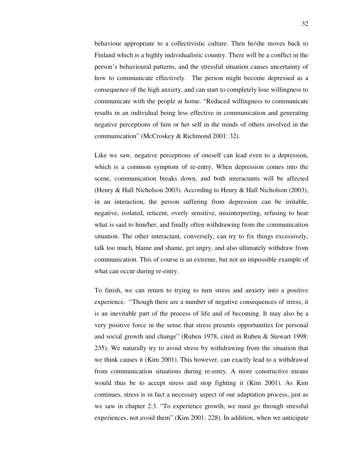behaviour appropriate to a collectivistic culture. Then he/she moves back to Finland which is a highly individualistic country. There will be a conflict in the person's behavioural patterns, and the stressful situation causes uncertainty of how to communicate effectively. The person might become depressed as a consequence of the high anxiety, and can start to completely lose willingness to communicate with the people at home. "Reduced willingness to communicate results in an individual being less effective in communication and generating negative perceptions of him or her self in the minds of others involved in the communication" (McCroskey & Richmond 2001: 32).

Like we saw, negative perceptions of oneself can lead even to a depression, which is a common symptom of re-entry. When depression comes into the scene, communication breaks down, and both interactants will be affected (Henry & Hall Nicholson 2003). According to Henry & Hall Nicholson (2003), in an interaction, the person suffering from depression can be irritable, negative, isolated, reticent, overly sensitive, misinterpreting, refusing to hear what is said to him/her, and finally often withdrawing from the communication situation. The other interactant, conversely, can try to fix things excessively, talk too much, blame and shame, get angry, and also ultimately withdraw from communication. This of course is an extreme, but not an impossible example of what can occur during re-entry.

To finish, we can return to trying to turn stress and anxiety into a positive experience. "Though there are a number of negative consequences of stress, it is an inevitable part of the process of life and of becoming. It may also be a very positive force in the sense that stress presents opportunities for personal and social growth and change" (Ruben 1978, cited in Ruben & Stewart 1998: 235). We naturally try to avoid stress by withdrawing from the situation that we think causes it (Kim 2001). This however, can exactly lead to a withdrawal from communication situations during re-entry. A more constructive means would thus be to accept stress and stop fighting it (Kim 2001). As Kim continues, stress is in fact a necessary aspect of our adaptation process, just as we saw in chapter 2.3. "To experience growth, we must go through stressful experiences, not avoid them" (Kim 2001: 228). In addition, when we anticipate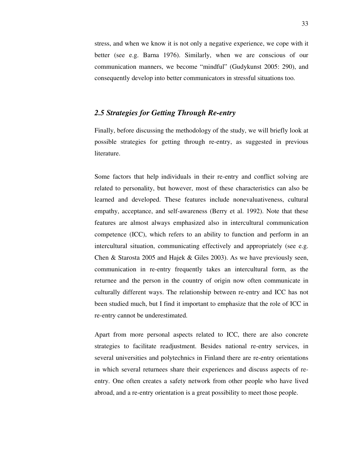stress, and when we know it is not only a negative experience, we cope with it better (see e.g. Barna 1976). Similarly, when we are conscious of our communication manners, we become "mindful" (Gudykunst 2005: 290), and consequently develop into better communicators in stressful situations too.

## *2.5 Strategies for Getting Through Re-entry*

Finally, before discussing the methodology of the study, we will briefly look at possible strategies for getting through re-entry, as suggested in previous literature.

Some factors that help individuals in their re-entry and conflict solving are related to personality, but however, most of these characteristics can also be learned and developed. These features include nonevaluativeness, cultural empathy, acceptance, and self-awareness (Berry et al. 1992). Note that these features are almost always emphasized also in intercultural communication competence (ICC), which refers to an ability to function and perform in an intercultural situation, communicating effectively and appropriately (see e.g. Chen & Starosta 2005 and Hajek & Giles 2003). As we have previously seen, communication in re-entry frequently takes an intercultural form, as the returnee and the person in the country of origin now often communicate in culturally different ways. The relationship between re-entry and ICC has not been studied much, but I find it important to emphasize that the role of ICC in re-entry cannot be underestimated.

Apart from more personal aspects related to ICC, there are also concrete strategies to facilitate readjustment. Besides national re-entry services, in several universities and polytechnics in Finland there are re-entry orientations in which several returnees share their experiences and discuss aspects of reentry. One often creates a safety network from other people who have lived abroad, and a re-entry orientation is a great possibility to meet those people.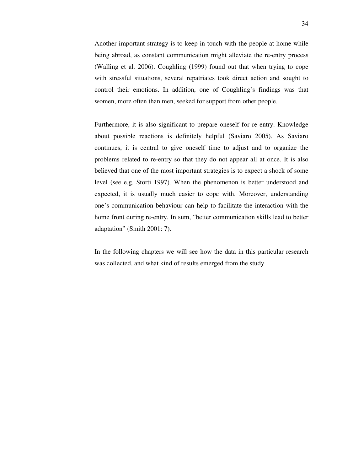Another important strategy is to keep in touch with the people at home while being abroad, as constant communication might alleviate the re-entry process (Walling et al. 2006). Coughling (1999) found out that when trying to cope with stressful situations, several repatriates took direct action and sought to control their emotions. In addition, one of Coughling's findings was that women, more often than men, seeked for support from other people.

Furthermore, it is also significant to prepare oneself for re-entry. Knowledge about possible reactions is definitely helpful (Saviaro 2005). As Saviaro continues, it is central to give oneself time to adjust and to organize the problems related to re-entry so that they do not appear all at once. It is also believed that one of the most important strategies is to expect a shock of some level (see e.g. Storti 1997). When the phenomenon is better understood and expected, it is usually much easier to cope with. Moreover, understanding one's communication behaviour can help to facilitate the interaction with the home front during re-entry. In sum, "better communication skills lead to better adaptation" (Smith 2001: 7).

In the following chapters we will see how the data in this particular research was collected, and what kind of results emerged from the study.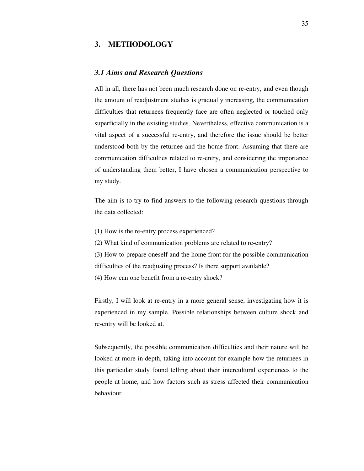## **3. METHODOLOGY**

## *3.1 Aims and Research Questions*

All in all, there has not been much research done on re-entry, and even though the amount of readjustment studies is gradually increasing, the communication difficulties that returnees frequently face are often neglected or touched only superficially in the existing studies. Nevertheless, effective communication is a vital aspect of a successful re-entry, and therefore the issue should be better understood both by the returnee and the home front. Assuming that there are communication difficulties related to re-entry, and considering the importance of understanding them better, I have chosen a communication perspective to my study.

The aim is to try to find answers to the following research questions through the data collected:

- (1) How is the re-entry process experienced?
- (2) What kind of communication problems are related to re-entry?
- (3) How to prepare oneself and the home front for the possible communication difficulties of the readjusting process? Is there support available?
- (4) How can one benefit from a re-entry shock?

Firstly, I will look at re-entry in a more general sense, investigating how it is experienced in my sample. Possible relationships between culture shock and re-entry will be looked at.

Subsequently, the possible communication difficulties and their nature will be looked at more in depth, taking into account for example how the returnees in this particular study found telling about their intercultural experiences to the people at home, and how factors such as stress affected their communication behaviour.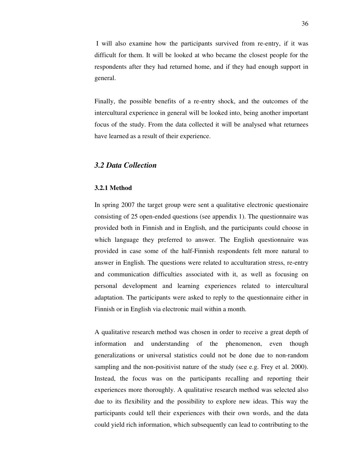I will also examine how the participants survived from re-entry, if it was difficult for them. It will be looked at who became the closest people for the respondents after they had returned home, and if they had enough support in general.

Finally, the possible benefits of a re-entry shock, and the outcomes of the intercultural experience in general will be looked into, being another important focus of the study. From the data collected it will be analysed what returnees have learned as a result of their experience.

## *3.2 Data Collection*

#### **3.2.1 Method**

In spring 2007 the target group were sent a qualitative electronic questionaire consisting of 25 open-ended questions (see appendix 1). The questionnaire was provided both in Finnish and in English, and the participants could choose in which language they preferred to answer. The English questionnaire was provided in case some of the half-Finnish respondents felt more natural to answer in English. The questions were related to acculturation stress, re-entry and communication difficulties associated with it, as well as focusing on personal development and learning experiences related to intercultural adaptation. The participants were asked to reply to the questionnaire either in Finnish or in English via electronic mail within a month.

A qualitative research method was chosen in order to receive a great depth of information and understanding of the phenomenon, even though generalizations or universal statistics could not be done due to non-random sampling and the non-positivist nature of the study (see e.g. Frey et al. 2000). Instead, the focus was on the participants recalling and reporting their experiences more thoroughly. A qualitative research method was selected also due to its flexibility and the possibility to explore new ideas. This way the participants could tell their experiences with their own words, and the data could yield rich information, which subsequently can lead to contributing to the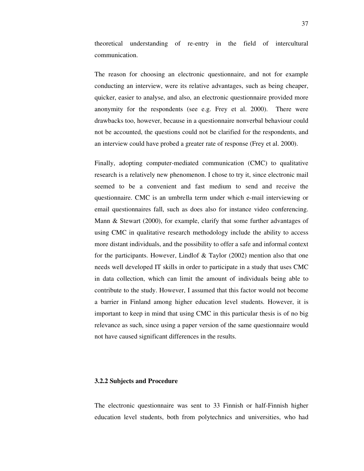theoretical understanding of re-entry in the field of intercultural communication.

The reason for choosing an electronic questionnaire, and not for example conducting an interview, were its relative advantages, such as being cheaper, quicker, easier to analyse, and also, an electronic questionnaire provided more anonymity for the respondents (see e.g. Frey et al. 2000). There were drawbacks too, however, because in a questionnaire nonverbal behaviour could not be accounted, the questions could not be clarified for the respondents, and an interview could have probed a greater rate of response (Frey et al. 2000).

Finally, adopting computer-mediated communication (CMC) to qualitative research is a relatively new phenomenon. I chose to try it, since electronic mail seemed to be a convenient and fast medium to send and receive the questionnaire. CMC is an umbrella term under which e-mail interviewing or email questionnaires fall, such as does also for instance video conferencing. Mann & Stewart (2000), for example, clarify that some further advantages of using CMC in qualitative research methodology include the ability to access more distant individuals, and the possibility to offer a safe and informal context for the participants. However, Lindlof & Taylor (2002) mention also that one needs well developed IT skills in order to participate in a study that uses CMC in data collection, which can limit the amount of individuals being able to contribute to the study. However, I assumed that this factor would not become a barrier in Finland among higher education level students. However, it is important to keep in mind that using CMC in this particular thesis is of no big relevance as such, since using a paper version of the same questionnaire would not have caused significant differences in the results.

#### **3.2.2 Subjects and Procedure**

The electronic questionnaire was sent to 33 Finnish or half-Finnish higher education level students, both from polytechnics and universities, who had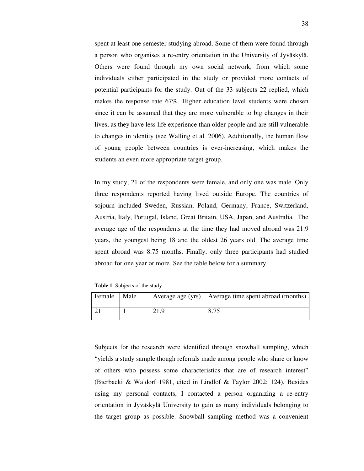spent at least one semester studying abroad. Some of them were found through a person who organises a re-entry orientation in the University of Jyväskylä. Others were found through my own social network, from which some individuals either participated in the study or provided more contacts of potential participants for the study. Out of the 33 subjects 22 replied, which makes the response rate 67%. Higher education level students were chosen since it can be assumed that they are more vulnerable to big changes in their lives, as they have less life experience than older people and are still vulnerable to changes in identity (see Walling et al. 2006). Additionally, the human flow of young people between countries is ever-increasing, which makes the students an even more appropriate target group.

In my study, 21 of the respondents were female, and only one was male. Only three respondents reported having lived outside Europe. The countries of sojourn included Sweden, Russian, Poland, Germany, France, Switzerland, Austria, Italy, Portugal, Island, Great Britain, USA, Japan, and Australia. The average age of the respondents at the time they had moved abroad was 21.9 years, the youngest being 18 and the oldest 26 years old. The average time spent abroad was 8.75 months. Finally, only three participants had studied abroad for one year or more. See the table below for a summary.

**Table 1**. Subjects of the study

| Female | Male | Average age (yrs)   Average time spent abroad (months) |
|--------|------|--------------------------------------------------------|
|        |      | 0.75<br>$0.1-$                                         |

Subjects for the research were identified through snowball sampling, which "yields a study sample though referrals made among people who share or know of others who possess some characteristics that are of research interest" (Bierbacki & Waldorf 1981, cited in Lindlof & Taylor 2002: 124). Besides using my personal contacts, I contacted a person organizing a re-entry orientation in Jyväskylä University to gain as many individuals belonging to the target group as possible. Snowball sampling method was a convenient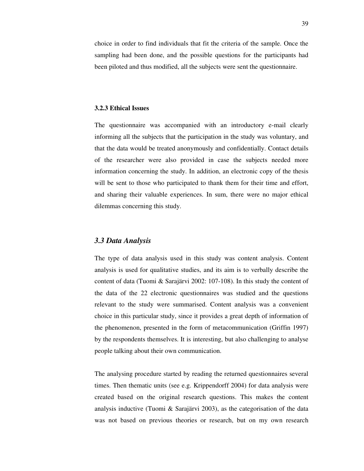choice in order to find individuals that fit the criteria of the sample. Once the sampling had been done, and the possible questions for the participants had been piloted and thus modified, all the subjects were sent the questionnaire.

#### **3.2.3 Ethical Issues**

The questionnaire was accompanied with an introductory e-mail clearly informing all the subjects that the participation in the study was voluntary, and that the data would be treated anonymously and confidentially. Contact details of the researcher were also provided in case the subjects needed more information concerning the study. In addition, an electronic copy of the thesis will be sent to those who participated to thank them for their time and effort, and sharing their valuable experiences. In sum, there were no major ethical dilemmas concerning this study.

### *3.3 Data Analysis*

The type of data analysis used in this study was content analysis. Content analysis is used for qualitative studies, and its aim is to verbally describe the content of data (Tuomi & Sarajärvi 2002: 107-108). In this study the content of the data of the 22 electronic questionnaires was studied and the questions relevant to the study were summarised. Content analysis was a convenient choice in this particular study, since it provides a great depth of information of the phenomenon, presented in the form of metacommunication (Griffin 1997) by the respondents themselves. It is interesting, but also challenging to analyse people talking about their own communication.

The analysing procedure started by reading the returned questionnaires several times. Then thematic units (see e.g. Krippendorff 2004) for data analysis were created based on the original research questions. This makes the content analysis inductive (Tuomi & Sarajärvi 2003), as the categorisation of the data was not based on previous theories or research, but on my own research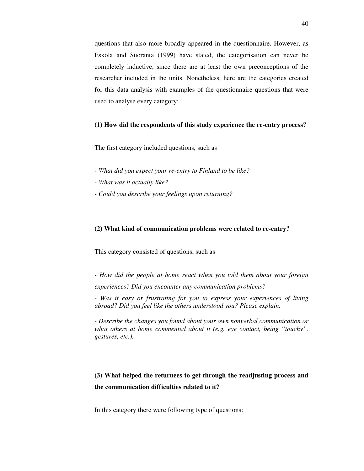questions that also more broadly appeared in the questionnaire. However, as Eskola and Suoranta (1999) have stated, the categorisation can never be completely inductive, since there are at least the own preconceptions of the researcher included in the units. Nonetheless, here are the categories created for this data analysis with examples of the questionnaire questions that were used to analyse every category:

#### **(1) How did the respondents of this study experience the re-entry process?**

The first category included questions, such as

- *What did you expect your re-entry to Finland to be like?*
- *What was it actually like?*
- *Could you describe your feelings upon returning?*

#### **(2) What kind of communication problems were related to re-entry?**

This category consisted of questions, such as

*- How did the people at home react when you told them about your foreign experiences? Did you encounter any communication problems?* 

*- Was it easy or frustrating for you to express your experiences of living abroad? Did you feel like the others understood you? Please explain.* 

*- Describe the changes you found about your own nonverbal communication or what others at home commented about it (e.g. eye contact, being "touchy", gestures, etc.).* 

# **(3) What helped the returnees to get through the readjusting process and the communication difficulties related to it?**

In this category there were following type of questions: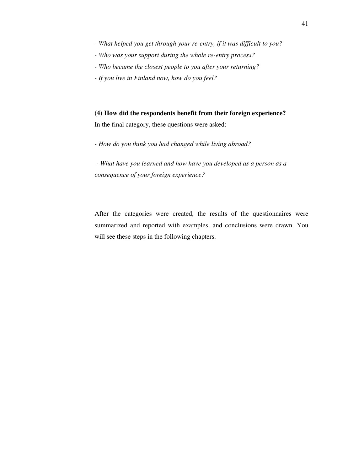- *What helped you get through your re-entry, if it was difficult to you?*
- *Who was your support during the whole re-entry process?*
- *Who became the closest people to you after your returning?*
- *If you live in Finland now, how do you feel?*

**(4) How did the respondents benefit from their foreign experience?**  In the final category, these questions were asked:

*- How do you think you had changed while living abroad?* 

 *- What have you learned and how have you developed as a person as a consequence of your foreign experience?* 

After the categories were created, the results of the questionnaires were summarized and reported with examples, and conclusions were drawn. You will see these steps in the following chapters.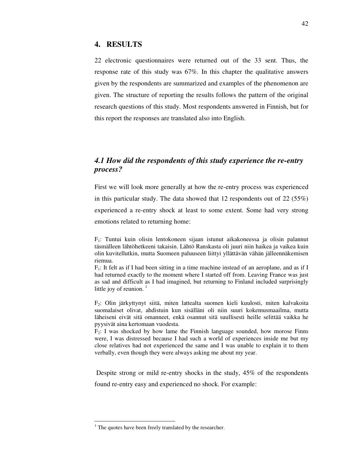### **4. RESULTS**

22 electronic questionnaires were returned out of the 33 sent. Thus, the response rate of this study was 67%. In this chapter the qualitative answers given by the respondents are summarized and examples of the phenomenon are given. The structure of reporting the results follows the pattern of the original research questions of this study. Most respondents answered in Finnish, but for this report the responses are translated also into English.

# *4.1 How did the respondents of this study experience the re-entry process?*

First we will look more generally at how the re-entry process was experienced in this particular study. The data showed that 12 respondents out of  $22 (55%)$ experienced a re-entry shock at least to some extent. Some had very strong emotions related to returning home:

 $F_1$ : It felt as if I had been sitting in a time machine instead of an aeroplane, and as if I had returned exactly to the moment where I started off from. Leaving France was just as sad and difficult as I had imagined, but returning to Finland included surprisingly little joy of reunion. $<sup>1</sup>$ </sup>

 $F_2$ : Olin järkyttynyt siitä, miten lattealta suomen kieli kuulosti, miten kalvakoita suomalaiset olivat, ahdistuin kun sisälläni oli niin suuri kokemusmaailma, mutta läheiseni eivät sitä omanneet, enkä osannut sitä suullisesti heille selittää vaikka he pyysivät aina kertomaan vuodesta.

 $F_2$ : I was shocked by how lame the Finnish language sounded, how morose Finns were, I was distressed because I had such a world of experiences inside me but my close relatives had not experienced the same and I was unable to explain it to them verbally, even though they were always asking me about my year.

 Despite strong or mild re-entry shocks in the study, 45% of the respondents found re-entry easy and experienced no shock. For example:

 $\ddot{\phantom{a}}$ 

 $F_1$ : Tuntui kuin olisin lentokoneen sijaan istunut aikakoneessa ja olisin palannut täsmälleen lähtöhetkeeni takaisin. Lähtö Ranskasta oli juuri niin haikea ja vaikea kuin olin kuvitellutkin, mutta Suomeen paluuseen liittyi yllättävän vähän jälleennäkemisen riemua.

<sup>&</sup>lt;sup>1</sup> The quotes have been freely translated by the researcher.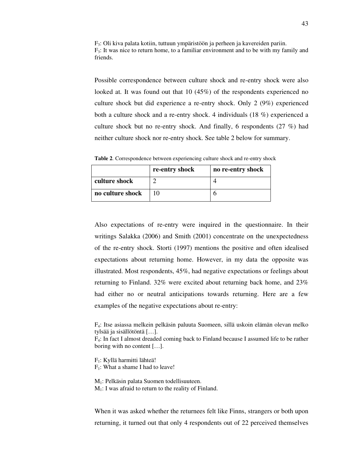$F_3$ : Oli kiva palata kotiin, tuttuun ympäristöön ja perheen ja kavereiden pariin.  $F_3$ : It was nice to return home, to a familiar environment and to be with my family and friends.

Possible correspondence between culture shock and re-entry shock were also looked at. It was found out that 10 (45%) of the respondents experienced no culture shock but did experience a re-entry shock. Only 2 (9%) experienced both a culture shock and a re-entry shock. 4 individuals (18 %) experienced a culture shock but no re-entry shock. And finally, 6 respondents (27 %) had neither culture shock nor re-entry shock. See table 2 below for summary.

**Table 2**. Correspondence between experiencing culture shock and re-entry shock

|                  | re-entry shock | no re-entry shock |
|------------------|----------------|-------------------|
| culture shock    |                |                   |
| no culture shock |                |                   |

Also expectations of re-entry were inquired in the questionnaire. In their writings Salakka (2006) and Smith (2001) concentrate on the unexpectedness of the re-entry shock. Storti (1997) mentions the positive and often idealised expectations about returning home. However, in my data the opposite was illustrated. Most respondents, 45%, had negative expectations or feelings about returning to Finland. 32% were excited about returning back home, and 23% had either no or neutral anticipations towards returning. Here are a few examples of the negative expectations about re-entry:

F4: Itse asiassa melkein pelkäsin paluuta Suomeen, sillä uskoin elämän olevan melko tylsää ja sisällötöntä […].

 $F_4$ : In fact I almost dreaded coming back to Finland because I assumed life to be rather boring with no content […].

F1: Kyllä harmitti lähteä!  $F_1$ : What a shame I had to leave!

M1: Pelkäsin palata Suomen todellisuuteen.

 $M<sub>1</sub>$ : I was afraid to return to the reality of Finland.

When it was asked whether the returnees felt like Finns, strangers or both upon returning, it turned out that only 4 respondents out of 22 perceived themselves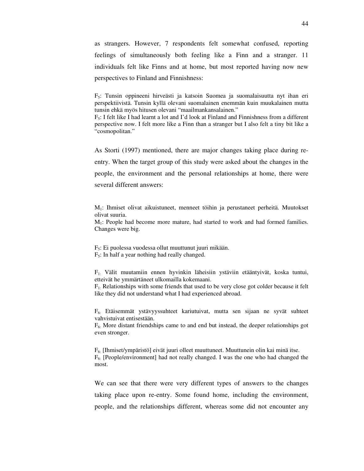as strangers. However, 7 respondents felt somewhat confused, reporting feelings of simultaneously both feeling like a Finn and a stranger. 11 individuals felt like Finns and at home, but most reported having now new perspectives to Finland and Finnishness:

 $F_5$ : Tunsin oppineeni hirveästi ja katsoin Suomea ja suomalaisuutta nyt ihan eri perspektiivistä. Tunsin kyllä olevani suomalainen enemmän kuin muukalainen mutta tunsin ehkä myös hitusen olevani "maailmankansalainen."

 $F_5$ : I felt like I had learnt a lot and I'd look at Finland and Finnishness from a different perspective now. I felt more like a Finn than a stranger but I also felt a tiny bit like a "cosmopolitan."

As Storti (1997) mentioned, there are major changes taking place during reentry. When the target group of this study were asked about the changes in the people, the environment and the personal relationships at home, there were several different answers:

M1: Ihmiset olivat aikuistuneet, menneet töihin ja perustaneet perheitä. Muutokset olivat suuria.

M1: People had become more mature, had started to work and had formed families. Changes were big.

F5: Ei puolessa vuodessa ollut muuttunut juuri mikään.  $F_5$ : In half a year nothing had really changed.

F1: Välit muutamiin ennen hyvinkin läheisiin ystäviin etääntyivät, koska tuntui, etteivät he ymmärtäneet ulkomailla kokemaani.

 $F_1$ : Relationships with some friends that used to be very close got colder because it felt like they did not understand what I had experienced abroad.

F6: Etäisemmät ystävyyssuhteet kariutuivat, mutta sen sijaan ne syvät suhteet vahvistuivat entisestään.

 $F<sub>6</sub>$ : More distant friendships came to and end but instead, the deeper relationships got even stronger.

 $F<sub>6</sub>$ : [Ihmiset/ympäristö] eivät juuri olleet muuttuneet. Muuttunein olin kai minä itse.  $F<sub>6</sub>$ : [People/environment] had not really changed. I was the one who had changed the most.

We can see that there were very different types of answers to the changes taking place upon re-entry. Some found home, including the environment, people, and the relationships different, whereas some did not encounter any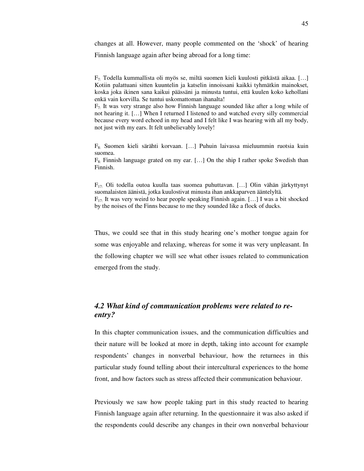changes at all. However, many people commented on the 'shock' of hearing Finnish language again after being abroad for a long time:

 $F_7$ : Todella kummallista oli myös se, miltä suomen kieli kuulosti pitkästä aikaa. [...] Kotiin palattuani sitten kuuntelin ja katselin innoissani kaikki tyhmätkin mainokset, koska joka ikinen sana kaikui päässäni ja minusta tuntui, että kuulen koko kehollani enkä vain korvilla. Se tuntui uskomattoman ihanalta!

 $F_7$ : It was very strange also how Finnish language sounded like after a long while of not hearing it. […] When I returned I listened to and watched every silly commercial because every word echoed in my head and I felt like I was hearing with all my body, not just with my ears. It felt unbelievably lovely!

F8: Suomen kieli särähti korvaan. […] Puhuin laivassa mieluummin ruotsia kuin suomea.

 $F_{8:}$  Finnish language grated on my ear. [...] On the ship I rather spoke Swedish than Finnish.

F17: Oli todella outoa kuulla taas suomea puhuttavan. […] Olin vähän järkyttynyt suomalaisten äänistä, jotka kuulostivat minusta ihan ankkaparven ääntelyltä.  $F_{17}$ : It was very weird to hear people speaking Finnish again. [...] I was a bit shocked by the noises of the Finns because to me they sounded like a flock of ducks.

Thus, we could see that in this study hearing one's mother tongue again for some was enjoyable and relaxing, whereas for some it was very unpleasant. In the following chapter we will see what other issues related to communication emerged from the study.

# *4.2 What kind of communication problems were related to reentry?*

In this chapter communication issues, and the communication difficulties and their nature will be looked at more in depth, taking into account for example respondents' changes in nonverbal behaviour, how the returnees in this particular study found telling about their intercultural experiences to the home front, and how factors such as stress affected their communication behaviour.

Previously we saw how people taking part in this study reacted to hearing Finnish language again after returning. In the questionnaire it was also asked if the respondents could describe any changes in their own nonverbal behaviour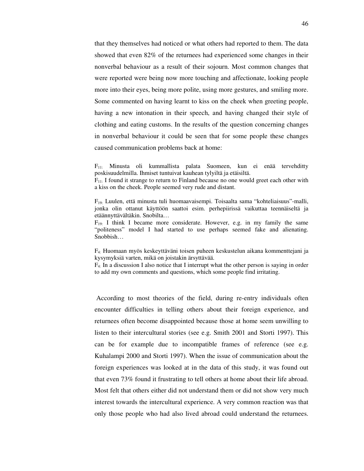that they themselves had noticed or what others had reported to them. The data showed that even 82% of the returnees had experienced some changes in their nonverbal behaviour as a result of their sojourn. Most common changes that were reported were being now more touching and affectionate, looking people more into their eyes, being more polite, using more gestures, and smiling more. Some commented on having learnt to kiss on the cheek when greeting people, having a new intonation in their speech, and having changed their style of clothing and eating customs. In the results of the question concerning changes in nonverbal behaviour it could be seen that for some people these changes caused communication problems back at home:

 $F_{11}$ : Minusta oli kummallista palata Suomeen, kun ei enää tervehditty poskisuudelmilla. Ihmiset tuntuivat kauhean tylyiltä ja etäisiltä.

 $F_{11}$ : I found it strange to return to Finland because no one would greet each other with a kiss on the cheek. People seemed very rude and distant.

F19: Luulen, että minusta tuli huomaavaisempi. Toisaalta sama "kohteliaisuus"-malli, jonka olin ottanut käyttöön saattoi esim. perhepiirissä vaikuttaa teennäiseltä ja etäännyttävältäkin. Snobilta…

 $F_{19}$ : I think I became more considerate. However, e.g. in my family the same "politeness" model I had started to use perhaps seemed fake and alienating. Snobbish…

F4: Huomaan myös keskeyttäväni toisen puheen keskustelun aikana kommenttejani ja kysymyksiä varten, mikä on joistakin ärsyttävää.

 $F_{4}$ : In a discussion I also notice that I interrupt what the other person is saying in order to add my own comments and questions, which some people find irritating.

 According to most theories of the field, during re-entry individuals often encounter difficulties in telling others about their foreign experience, and returnees often become disappointed because those at home seem unwilling to listen to their intercultural stories (see e.g. Smith 2001 and Storti 1997). This can be for example due to incompatible frames of reference (see e.g. Kuhalampi 2000 and Storti 1997). When the issue of communication about the foreign experiences was looked at in the data of this study, it was found out that even 73% found it frustrating to tell others at home about their life abroad. Most felt that others either did not understand them or did not show very much interest towards the intercultural experience. A very common reaction was that only those people who had also lived abroad could understand the returnees.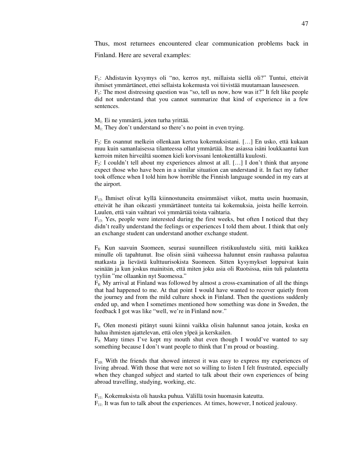Thus, most returnees encountered clear communication problems back in

Finland. Here are several examples:

F1: Ahdistavin kysymys oli "no, kerros nyt, millaista siellä oli?" Tuntui, etteivät ihmiset ymmärtäneet, ettei sellaista kokemusta voi tiivistää muutamaan lauseeseen.

 $F_1$ : The most distressing question was "so, tell us now, how was it?" It felt like people did not understand that you cannot summarize that kind of experience in a few sentences.

M1: Ei ne ymmärrä, joten turha yrittää.

 $M<sub>1</sub>$ : They don't understand so there's no point in even trying.

F2: En osannut melkein ollenkaan kertoa kokemuksistani. […] En usko, että kukaan muu kuin samanlaisessa tilanteessa ollut ymmärtää. Itse asiassa isäni loukkaantui kun kerroin miten hirveältä suomen kieli korvissani lentokentällä kuulosti.

 $F_2$ : I couldn't tell about my experiences almost at all. [...] I don't think that anyone expect those who have been in a similar situation can understand it. In fact my father took offence when I told him how horrible the Finnish language sounded in my ears at the airport.

 $F_{13}$ : Ihmiset olivat kyllä kiinnostuneita ensimmäiset viikot, mutta usein huomasin, etteivät he ihan oikeasti ymmärtäneet tunteita tai kokemuksia, joista heille kerroin. Luulen, että vain vaihtari voi ymmärtää toista vaihtaria.

 $F_{13}$ : Yes, people were interested during the first weeks, but often I noticed that they didn't really understand the feelings or experiences I told them about. I think that only an exchange student can understand another exchange student.

 $F_{8}$ : Kun saavuin Suomeen, seurasi suunnilleen ristikuulustelu siitä, mitä kaikkea minulle oli tapahtunut. Itse olisin siinä vaiheessa halunnut ensin rauhassa palautua matkasta ja lievästä kulttuurisokista Suomeen. Sitten kysymykset loppuivat kuin seinään ja kun joskus mainitsin, että miten joku asia oli Ruotsissa, niin tuli palautetta tyyliin "me ollaankin nyt Suomessa."

 $F_{8}$ : My arrival at Finland was followed by almost a cross-examination of all the things that had happened to me. At that point I would have wanted to recover quietly from the journey and from the mild culture shock in Finland. Then the questions suddenly ended up, and when I sometimes mentioned how something was done in Sweden, the feedback I got was like "well, we're in Finland now."

F9: Olen monesti pitänyt suuni kiinni vaikka olisin halunnut sanoa jotain, koska en halua ihmisten ajattelevan, että olen ylpeä ja kerskailen.

 $F<sub>9</sub>$ : Many times I've kept my mouth shut even though I would've wanted to say something because I don't want people to think that I'm proud or boasting.

 $F_{10}$ . With the friends that showed interest it was easy to express my experiences of living abroad. With those that were not so willing to listen I felt frustrated, especially when they changed subject and started to talk about their own experiences of being abroad travelling, studying, working, etc.

 $F_{11}$ : Kokemuksista oli hauska puhua. Välillä tosin huomasin kateutta.

 $F_{11}$ : It was fun to talk about the experiences. At times, however, I noticed jealousy.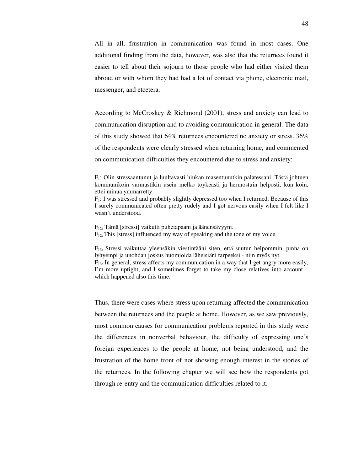All in all, frustration in communication was found in most cases. One additional finding from the data, however, was also that the returnees found it easier to tell about their sojourn to those people who had either visited them abroad or with whom they had had a lot of contact via phone, electronic mail, messenger, and etcetera.

According to McCroskey & Richmond (2001), stress and anxiety can lead to communication disruption and to avoiding communication in general. The data of this study showed that 64% returnees encountered no anxiety or stress. 36% of the respondents were clearly stressed when returning home, and commented on communication difficulties they encountered due to stress and anxiety:

 $F_1$ : I was stressed and probably slightly depressed too when I returned. Because of this I surely communicated often pretty rudely and I got nervous easily when I felt like I wasn't understood.

F12: Tämä [stressi] vaikutti puhetapaani ja äänensävyyni.

 $F_{12}$ : This [stress] influenced my way of speaking and the tone of my voice.

F13: Stressi vaikuttaa yleensäkin viestintääni siten, että suutun helpommin, pinna on lyhyempi ja unohdan joskus huomioida läheisiäni tarpeeksi - niin myös nyt.  $F_{13}$ : In general, stress affects my communication in a way that I get angry more easily, I'm more uptight, and I sometimes forget to take my close relatives into account – which happened also this time.

Thus, there were cases where stress upon returning affected the communication between the returnees and the people at home. However, as we saw previously, most common causes for communication problems reported in this study were the differences in nonverbal behaviour, the difficulty of expressing one's foreign experiences to the people at home, not being understood, and the frustration of the home front of not showing enough interest in the stories of the returnees. In the following chapter we will see how the respondents got through re-entry and the communication difficulties related to it.

 $F_1$ : Olin stressaantunut ja luultavasti hiukan masentunutkin palatessani. Tästä johtuen kommunikoin varmastikin usein melko töykeästi ja hermostuin helposti, kun koin, ettei minua ymmärretty.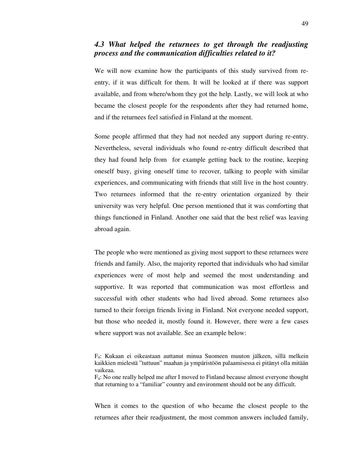## *4.3 What helped the returnees to get through the readjusting process and the communication difficulties related to it?*

We will now examine how the participants of this study survived from reentry, if it was difficult for them. It will be looked at if there was support available, and from where/whom they got the help. Lastly, we will look at who became the closest people for the respondents after they had returned home, and if the returnees feel satisfied in Finland at the moment.

Some people affirmed that they had not needed any support during re-entry. Nevertheless, several individuals who found re-entry difficult described that they had found help from for example getting back to the routine, keeping oneself busy, giving oneself time to recover, talking to people with similar experiences, and communicating with friends that still live in the host country. Two returnees informed that the re-entry orientation organized by their university was very helpful. One person mentioned that it was comforting that things functioned in Finland. Another one said that the best relief was leaving abroad again.

The people who were mentioned as giving most support to these returnees were friends and family. Also, the majority reported that individuals who had similar experiences were of most help and seemed the most understanding and supportive. It was reported that communication was most effortless and successful with other students who had lived abroad. Some returnees also turned to their foreign friends living in Finland. Not everyone needed support, but those who needed it, mostly found it. However, there were a few cases where support was not available. See an example below:

When it comes to the question of who became the closest people to the returnees after their readjustment, the most common answers included family,

F4: Kukaan ei oikeastaan auttanut minua Suomeen muuton jälkeen, sillä melkein kaikkien mielestä "tuttuun" maahan ja ympäristöön palaamisessa ei pitänyt olla mitään vaikeaa.

 $F_4$ : No one really helped me after I moved to Finland because almost everyone thought that returning to a "familiar" country and environment should not be any difficult.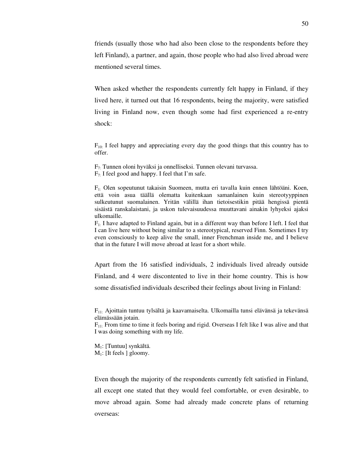friends (usually those who had also been close to the respondents before they left Finland), a partner, and again, those people who had also lived abroad were mentioned several times.

When asked whether the respondents currently felt happy in Finland, if they lived here, it turned out that 16 respondents, being the majority, were satisfied living in Finland now, even though some had first experienced a re-entry shock:

 $F_{10}$ : I feel happy and appreciating every day the good things that this country has to offer.

F7: Tunnen oloni hyväksi ja onnelliseksi. Tunnen olevani turvassa.  $F_{7}$ : I feel good and happy. I feel that I'm safe.

F1: Olen sopeutunut takaisin Suomeen, mutta eri tavalla kuin ennen lähtöäni. Koen, että voin asua täällä olematta kuitenkaan samanlainen kuin stereotyyppinen sulkeutunut suomalainen. Yritän välillä ihan tietoisestikin pitää hengissä pientä sisäistä ranskalaistani, ja uskon tulevaisuudessa muuttavani ainakin lyhyeksi ajaksi ulkomaille.

 $F_1$ . I have adapted to Finland again, but in a different way than before I left. I feel that I can live here without being similar to a stereotypical, reserved Finn. Sometimes I try even consciously to keep alive the small, inner Frenchman inside me, and I believe that in the future I will move abroad at least for a short while.

Apart from the 16 satisfied individuals, 2 individuals lived already outside Finland, and 4 were discontented to live in their home country. This is how some dissatisfied individuals described their feelings about living in Finland:

 $F_{11}$ : Ajoittain tuntuu tylsältä ja kaavamaiselta. Ulkomailla tunsi elävänsä ja tekevänsä elämässään jotain.

 $F_{11}$ : From time to time it feels boring and rigid. Overseas I felt like I was alive and that I was doing something with my life.

M1: [Tuntuu] synkältä.  $M_1$ : [It feels ] gloomy.

Even though the majority of the respondents currently felt satisfied in Finland, all except one stated that they would feel comfortable, or even desirable, to move abroad again. Some had already made concrete plans of returning overseas: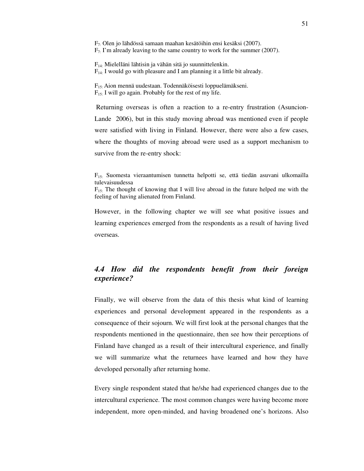F7: Olen jo lähdössä samaan maahan kesätöihin ensi kesäksi (2007).  $F_7$ . I'm already leaving to the same country to work for the summer (2007).

F14: Mielelläni lähtisin ja vähän sitä jo suunnittelenkin.  $F_{14}$ : I would go with pleasure and I am planning it a little bit already.

F15: Aion mennä uudestaan. Todennäköisesti loppuelämäkseni.  $F_{15}$ : I will go again. Probably for the rest of my life.

Returning overseas is often a reaction to a re-entry frustration (Asuncion-Lande 2006), but in this study moving abroad was mentioned even if people were satisfied with living in Finland. However, there were also a few cases, where the thoughts of moving abroad were used as a support mechanism to survive from the re-entry shock:

 $F_{15}$ : Suomesta vieraantumisen tunnetta helpotti se, että tiedän asuvani ulkomailla tulevaisuudessa

 $F_{15}$ : The thought of knowing that I will live abroad in the future helped me with the feeling of having alienated from Finland.

However, in the following chapter we will see what positive issues and learning experiences emerged from the respondents as a result of having lived overseas.

# *4.4 How did the respondents benefit from their foreign experience?*

Finally, we will observe from the data of this thesis what kind of learning experiences and personal development appeared in the respondents as a consequence of their sojourn. We will first look at the personal changes that the respondents mentioned in the questionnaire, then see how their perceptions of Finland have changed as a result of their intercultural experience, and finally we will summarize what the returnees have learned and how they have developed personally after returning home.

Every single respondent stated that he/she had experienced changes due to the intercultural experience. The most common changes were having become more independent, more open-minded, and having broadened one's horizons. Also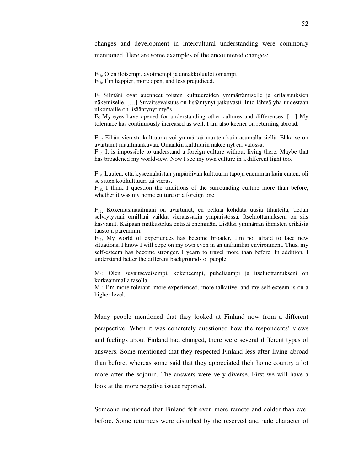changes and development in intercultural understanding were commonly mentioned. Here are some examples of the encountered changes:

F16: Olen iloisempi, avoimempi ja ennakkoluulottomampi.  $F_{16}$ : I'm happier, more open, and less prejudiced.

 $F<sub>5</sub>$  Silmäni ovat auenneet toisten kulttuureiden ymmärtämiselle ja erilaisuuksien näkemiselle. […] Suvaitsevaisuus on lisääntynyt jatkuvasti. Into lähteä yhä uudestaan ulkomaille on lisääntynyt myös.

 $F_5$  My eyes have opened for understanding other cultures and differences. [...] My tolerance has continuously increased as well. I am also keener on returning abroad.

 $F_{17}$ : Eihän vierasta kulttuuria voi ymmärtää muuten kuin asumalla siellä. Ehkä se on avartanut maailmankuvaa. Omankin kulttuurin näkee nyt eri valossa.

 $F_{17}$ . It is impossible to understand a foreign culture without living there. Maybe that has broadened my worldview. Now I see my own culture in a different light too.

 $F_{18}$ : Luulen, että kyseenalaistan ympäröivän kulttuurin tapoja enemmän kuin ennen, oli se sitten kotikulttuuri tai vieras.

 $F_{18}$ : I think I question the traditions of the surrounding culture more than before, whether it was my home culture or a foreign one.

 $F_{11}$ : Kokemusmaailmani on avartunut, en pelkää kohdata uusia tilanteita, tiedän selviytyväni omillani vaikka vieraassakin ympäristössä. Itseluottamukseni on siis kasvanut. Kaipaan matkustelua entistä enemmän. Lisäksi ymmärrän ihmisten erilaisia taustoja paremmin.

 $F_{11}$ : My world of experiences has become broader, I'm not afraid to face new situations, I know I will cope on my own even in an unfamiliar environment. Thus, my self-esteem has become stronger. I yearn to travel more than before. In addition, I understand better the different backgrounds of people.

M1: Olen suvaitsevaisempi, kokeneempi, puheliaampi ja itseluottamukseni on korkeammalla tasolla.

M1: I'm more tolerant, more experienced, more talkative, and my self-esteem is on a higher level.

Many people mentioned that they looked at Finland now from a different perspective. When it was concretely questioned how the respondents' views and feelings about Finland had changed, there were several different types of answers. Some mentioned that they respected Finland less after living abroad than before, whereas some said that they appreciated their home country a lot more after the sojourn. The answers were very diverse. First we will have a look at the more negative issues reported.

Someone mentioned that Finland felt even more remote and colder than ever before. Some returnees were disturbed by the reserved and rude character of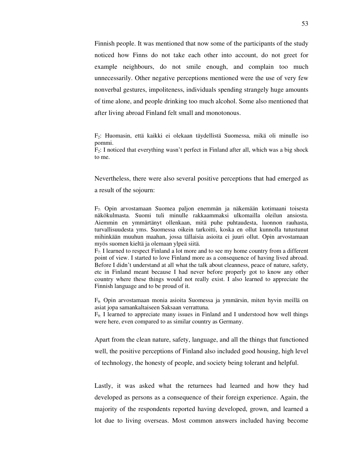Finnish people. It was mentioned that now some of the participants of the study noticed how Finns do not take each other into account, do not greet for example neighbours, do not smile enough, and complain too much unnecessarily. Other negative perceptions mentioned were the use of very few nonverbal gestures, impoliteness, individuals spending strangely huge amounts of time alone, and people drinking too much alcohol. Some also mentioned that after living abroad Finland felt small and monotonous.

 $F_2$ : Huomasin, että kaikki ei olekaan täydellistä Suomessa, mikä oli minulle iso pommi. F2: I noticed that everything wasn't perfect in Finland after all, which was a big shock to me.

Nevertheless, there were also several positive perceptions that had emerged as a result of the sojourn:

F7: Opin arvostamaan Suomea paljon enemmän ja näkemään kotimaani toisesta näkökulmasta. Suomi tuli minulle rakkaammaksi ulkomailla oleilun ansiosta. Aiemmin en ymmärtänyt ollenkaan, mitä puhe puhtaudesta, luonnon rauhasta, turvallisuudesta yms. Suomessa oikein tarkoitti, koska en ollut kunnolla tutustunut mihinkään muuhun maahan, jossa tällaisia asioita ei juuri ollut. Opin arvostamaan myös suomen kieltä ja olemaan ylpeä siitä.

 $F_7$ : I learned to respect Finland a lot more and to see my home country from a different point of view. I started to love Finland more as a consequence of having lived abroad. Before I didn't understand at all what the talk about cleanness, peace of nature, safety, etc in Finland meant because I had never before properly got to know any other country where these things would not really exist. I also learned to appreciate the Finnish language and to be proud of it.

F9: Opin arvostamaan monia asioita Suomessa ja ymmärsin, miten hyvin meillä on asiat jopa samankaltaiseen Saksaan verrattuna.

 $F_{9}$ : I learned to appreciate many issues in Finland and I understood how well things were here, even compared to as similar country as Germany.

Apart from the clean nature, safety, language, and all the things that functioned well, the positive perceptions of Finland also included good housing, high level of technology, the honesty of people, and society being tolerant and helpful.

Lastly, it was asked what the returnees had learned and how they had developed as persons as a consequence of their foreign experience. Again, the majority of the respondents reported having developed, grown, and learned a lot due to living overseas. Most common answers included having become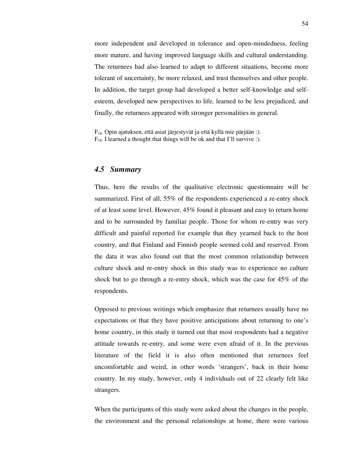more independent and developed in tolerance and open-mindedness, feeling more mature, and having improved language skills and cultural understanding. The returnees had also learned to adapt to different situations, become more tolerant of uncertainty, be more relaxed, and trust themselves and other people. In addition, the target group had developed a better self-knowledge and selfesteem, developed new perspectives to life, learned to be less prejudiced, and finally, the returnees appeared with stronger personalities in general.

F18: Opin ajatuksen, että asiat järjestyvät ja että kyllä mie pärjään :).  $F_{18}$ : I learned a thought that things will be ok and that I'll survive :).

## *4.5 Summary*

Thus, here the results of the qualitative electronic questionnaire will be summarized. First of all, 55% of the respondents experienced a re-entry shock of at least some level. However, 45% found it pleasant and easy to return home and to be surrounded by familiar people. Those for whom re-entry was very difficult and painful reported for example that they yearned back to the host country, and that Finland and Finnish people seemed cold and reserved. From the data it was also found out that the most common relationship between culture shock and re-entry shock in this study was to experience no culture shock but to go through a re-entry shock, which was the case for 45% of the respondents.

Opposed to previous writings which emphasize that returnees usually have no expectations or that they have positive anticipations about returning to one's home country, in this study it turned out that most respondents had a negative attitude towards re-entry, and some were even afraid of it. In the previous literature of the field it is also often mentioned that returnees feel uncomfortable and weird, in other words 'strangers', back in their home country. In my study, however, only 4 individuals out of 22 clearly felt like strangers.

When the participants of this study were asked about the changes in the people, the environment and the personal relationships at home, there were various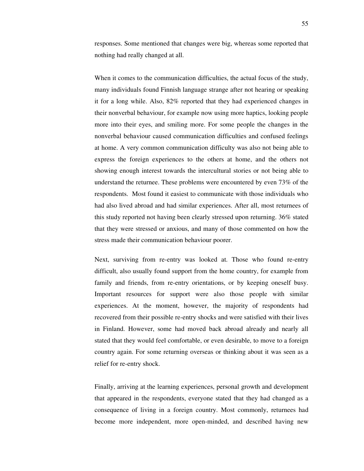responses. Some mentioned that changes were big, whereas some reported that nothing had really changed at all.

When it comes to the communication difficulties, the actual focus of the study, many individuals found Finnish language strange after not hearing or speaking it for a long while. Also, 82% reported that they had experienced changes in their nonverbal behaviour, for example now using more haptics, looking people more into their eyes, and smiling more. For some people the changes in the nonverbal behaviour caused communication difficulties and confused feelings at home. A very common communication difficulty was also not being able to express the foreign experiences to the others at home, and the others not showing enough interest towards the intercultural stories or not being able to understand the returnee. These problems were encountered by even 73% of the respondents. Most found it easiest to communicate with those individuals who had also lived abroad and had similar experiences. After all, most returnees of this study reported not having been clearly stressed upon returning. 36% stated that they were stressed or anxious, and many of those commented on how the stress made their communication behaviour poorer.

Next, surviving from re-entry was looked at. Those who found re-entry difficult, also usually found support from the home country, for example from family and friends, from re-entry orientations, or by keeping oneself busy. Important resources for support were also those people with similar experiences. At the moment, however, the majority of respondents had recovered from their possible re-entry shocks and were satisfied with their lives in Finland. However, some had moved back abroad already and nearly all stated that they would feel comfortable, or even desirable, to move to a foreign country again. For some returning overseas or thinking about it was seen as a relief for re-entry shock.

Finally, arriving at the learning experiences, personal growth and development that appeared in the respondents, everyone stated that they had changed as a consequence of living in a foreign country. Most commonly, returnees had become more independent, more open-minded, and described having new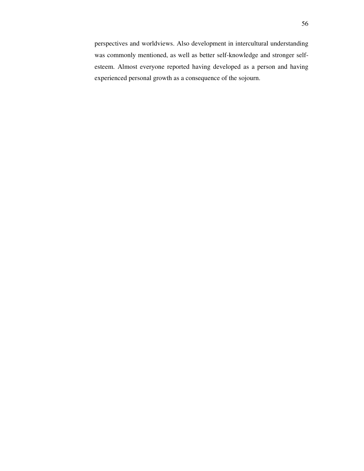perspectives and worldviews. Also development in intercultural understanding was commonly mentioned, as well as better self-knowledge and stronger selfesteem. Almost everyone reported having developed as a person and having experienced personal growth as a consequence of the sojourn.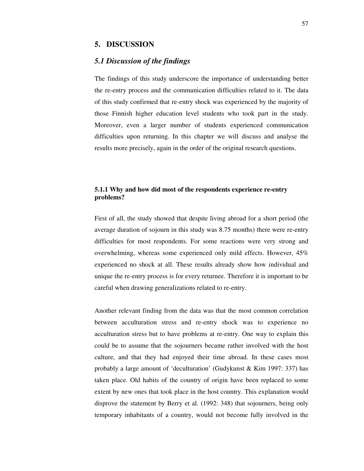### **5. DISCUSSION**

## *5.1 Discussion of the findings*

The findings of this study underscore the importance of understanding better the re-entry process and the communication difficulties related to it. The data of this study confirmed that re-entry shock was experienced by the majority of those Finnish higher education level students who took part in the study. Moreover, even a larger number of students experienced communication difficulties upon returning. In this chapter we will discuss and analyse the results more precisely, again in the order of the original research questions.

## **5.1.1 Why and how did most of the respondents experience re-entry problems?**

First of all, the study showed that despite living abroad for a short period (the average duration of sojourn in this study was 8.75 months) there were re-entry difficulties for most respondents. For some reactions were very strong and overwhelming, whereas some experienced only mild effects. However, 45% experienced no shock at all. These results already show how individual and unique the re-entry process is for every returnee. Therefore it is important to be careful when drawing generalizations related to re-entry.

Another relevant finding from the data was that the most common correlation between acculturation stress and re-entry shock was to experience no acculturation stress but to have problems at re-entry. One way to explain this could be to assume that the sojourners became rather involved with the host culture, and that they had enjoyed their time abroad. In these cases most probably a large amount of 'deculturation' (Gudykunst & Kim 1997: 337) has taken place. Old habits of the country of origin have been replaced to some extent by new ones that took place in the host country. This explanation would disprove the statement by Berry et al. (1992: 348) that sojourners, being only temporary inhabitants of a country, would not become fully involved in the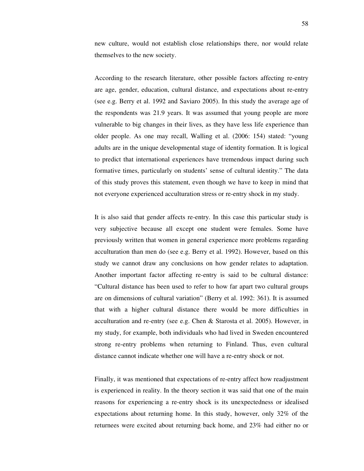new culture, would not establish close relationships there, nor would relate themselves to the new society.

According to the research literature, other possible factors affecting re-entry are age, gender, education, cultural distance, and expectations about re-entry (see e.g. Berry et al. 1992 and Saviaro 2005). In this study the average age of the respondents was 21.9 years. It was assumed that young people are more vulnerable to big changes in their lives, as they have less life experience than older people. As one may recall, Walling et al. (2006: 154) stated: "young adults are in the unique developmental stage of identity formation. It is logical to predict that international experiences have tremendous impact during such formative times, particularly on students' sense of cultural identity." The data of this study proves this statement, even though we have to keep in mind that not everyone experienced acculturation stress or re-entry shock in my study.

It is also said that gender affects re-entry. In this case this particular study is very subjective because all except one student were females. Some have previously written that women in general experience more problems regarding acculturation than men do (see e.g. Berry et al. 1992). However, based on this study we cannot draw any conclusions on how gender relates to adaptation. Another important factor affecting re-entry is said to be cultural distance: "Cultural distance has been used to refer to how far apart two cultural groups are on dimensions of cultural variation" (Berry et al. 1992: 361). It is assumed that with a higher cultural distance there would be more difficulties in acculturation and re-entry (see e.g. Chen & Starosta et al. 2005). However, in my study, for example, both individuals who had lived in Sweden encountered strong re-entry problems when returning to Finland. Thus, even cultural distance cannot indicate whether one will have a re-entry shock or not.

Finally, it was mentioned that expectations of re-entry affect how readjustment is experienced in reality. In the theory section it was said that one of the main reasons for experiencing a re-entry shock is its unexpectedness or idealised expectations about returning home. In this study, however, only 32% of the returnees were excited about returning back home, and 23% had either no or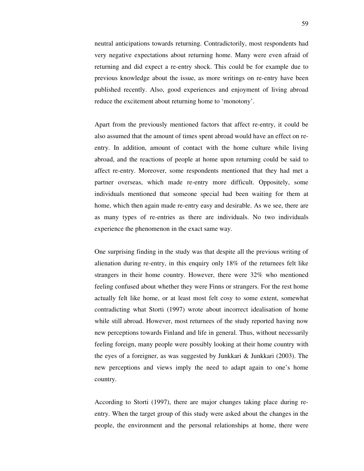neutral anticipations towards returning. Contradictorily, most respondents had very negative expectations about returning home. Many were even afraid of returning and did expect a re-entry shock. This could be for example due to previous knowledge about the issue, as more writings on re-entry have been published recently. Also, good experiences and enjoyment of living abroad reduce the excitement about returning home to 'monotony'.

Apart from the previously mentioned factors that affect re-entry, it could be also assumed that the amount of times spent abroad would have an effect on reentry. In addition, amount of contact with the home culture while living abroad, and the reactions of people at home upon returning could be said to affect re-entry. Moreover, some respondents mentioned that they had met a partner overseas, which made re-entry more difficult. Oppositely, some individuals mentioned that someone special had been waiting for them at home, which then again made re-entry easy and desirable. As we see, there are as many types of re-entries as there are individuals. No two individuals experience the phenomenon in the exact same way.

One surprising finding in the study was that despite all the previous writing of alienation during re-entry, in this enquiry only 18% of the returnees felt like strangers in their home country. However, there were 32% who mentioned feeling confused about whether they were Finns or strangers. For the rest home actually felt like home, or at least most felt cosy to some extent, somewhat contradicting what Storti (1997) wrote about incorrect idealisation of home while still abroad. However, most returnees of the study reported having now new perceptions towards Finland and life in general. Thus, without necessarily feeling foreign, many people were possibly looking at their home country with the eyes of a foreigner, as was suggested by Junkkari & Junkkari (2003). The new perceptions and views imply the need to adapt again to one's home country.

According to Storti (1997), there are major changes taking place during reentry. When the target group of this study were asked about the changes in the people, the environment and the personal relationships at home, there were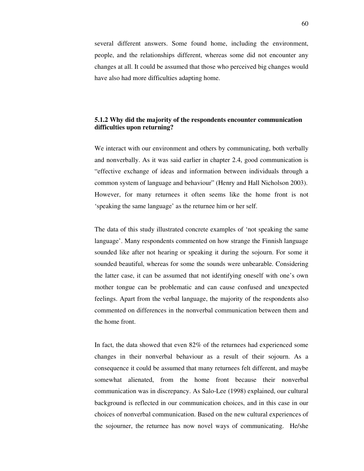several different answers. Some found home, including the environment, people, and the relationships different, whereas some did not encounter any changes at all. It could be assumed that those who perceived big changes would have also had more difficulties adapting home.

## **5.1.2 Why did the majority of the respondents encounter communication difficulties upon returning?**

We interact with our environment and others by communicating, both verbally and nonverbally. As it was said earlier in chapter 2.4, good communication is "effective exchange of ideas and information between individuals through a common system of language and behaviour" (Henry and Hall Nicholson 2003). However, for many returnees it often seems like the home front is not 'speaking the same language' as the returnee him or her self.

The data of this study illustrated concrete examples of 'not speaking the same language'. Many respondents commented on how strange the Finnish language sounded like after not hearing or speaking it during the sojourn. For some it sounded beautiful, whereas for some the sounds were unbearable. Considering the latter case, it can be assumed that not identifying oneself with one's own mother tongue can be problematic and can cause confused and unexpected feelings. Apart from the verbal language, the majority of the respondents also commented on differences in the nonverbal communication between them and the home front.

In fact, the data showed that even 82% of the returnees had experienced some changes in their nonverbal behaviour as a result of their sojourn. As a consequence it could be assumed that many returnees felt different, and maybe somewhat alienated, from the home front because their nonverbal communication was in discrepancy. As Salo-Lee (1998) explained, our cultural background is reflected in our communication choices, and in this case in our choices of nonverbal communication. Based on the new cultural experiences of the sojourner, the returnee has now novel ways of communicating. He/she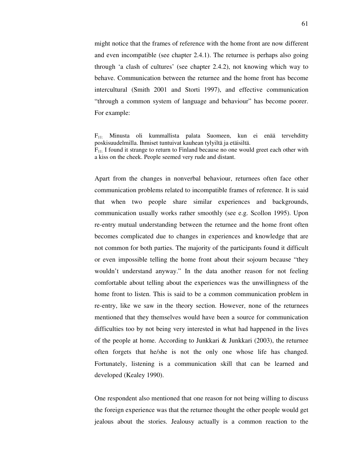might notice that the frames of reference with the home front are now different and even incompatible (see chapter 2.4.1). The returnee is perhaps also going through 'a clash of cultures' (see chapter 2.4.2), not knowing which way to behave. Communication between the returnee and the home front has become intercultural (Smith 2001 and Storti 1997), and effective communication "through a common system of language and behaviour" has become poorer. For example:

Apart from the changes in nonverbal behaviour, returnees often face other communication problems related to incompatible frames of reference. It is said that when two people share similar experiences and backgrounds, communication usually works rather smoothly (see e.g. Scollon 1995). Upon re-entry mutual understanding between the returnee and the home front often becomes complicated due to changes in experiences and knowledge that are not common for both parties. The majority of the participants found it difficult or even impossible telling the home front about their sojourn because "they wouldn't understand anyway." In the data another reason for not feeling comfortable about telling about the experiences was the unwillingness of the home front to listen. This is said to be a common communication problem in re-entry, like we saw in the theory section. However, none of the returnees mentioned that they themselves would have been a source for communication difficulties too by not being very interested in what had happened in the lives of the people at home. According to Junkkari & Junkkari (2003), the returnee often forgets that he/she is not the only one whose life has changed. Fortunately, listening is a communication skill that can be learned and developed (Kealey 1990).

One respondent also mentioned that one reason for not being willing to discuss the foreign experience was that the returnee thought the other people would get jealous about the stories. Jealousy actually is a common reaction to the

 $F_{11}$ : Minusta oli kummallista palata Suomeen, kun ei enää tervehditty poskisuudelmilla. Ihmiset tuntuivat kauhean tylyiltä ja etäisiltä.  $F_{11}$ : I found it strange to return to Finland because no one would greet each other with a kiss on the cheek. People seemed very rude and distant.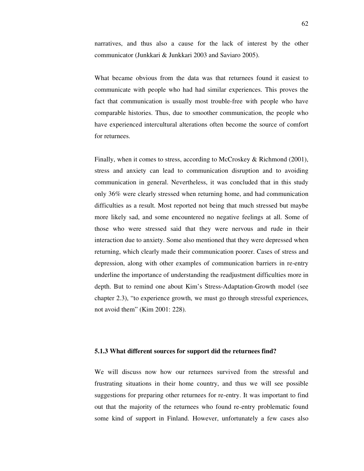narratives, and thus also a cause for the lack of interest by the other communicator (Junkkari & Junkkari 2003 and Saviaro 2005).

What became obvious from the data was that returnees found it easiest to communicate with people who had had similar experiences. This proves the fact that communication is usually most trouble-free with people who have comparable histories. Thus, due to smoother communication, the people who have experienced intercultural alterations often become the source of comfort for returnees.

Finally, when it comes to stress, according to McCroskey & Richmond (2001), stress and anxiety can lead to communication disruption and to avoiding communication in general. Nevertheless, it was concluded that in this study only 36% were clearly stressed when returning home, and had communication difficulties as a result. Most reported not being that much stressed but maybe more likely sad, and some encountered no negative feelings at all. Some of those who were stressed said that they were nervous and rude in their interaction due to anxiety. Some also mentioned that they were depressed when returning, which clearly made their communication poorer. Cases of stress and depression, along with other examples of communication barriers in re-entry underline the importance of understanding the readjustment difficulties more in depth. But to remind one about Kim's Stress-Adaptation-Growth model (see chapter 2.3), "to experience growth, we must go through stressful experiences, not avoid them" (Kim 2001: 228).

#### **5.1.3 What different sources for support did the returnees find?**

We will discuss now how our returnees survived from the stressful and frustrating situations in their home country, and thus we will see possible suggestions for preparing other returnees for re-entry. It was important to find out that the majority of the returnees who found re-entry problematic found some kind of support in Finland. However, unfortunately a few cases also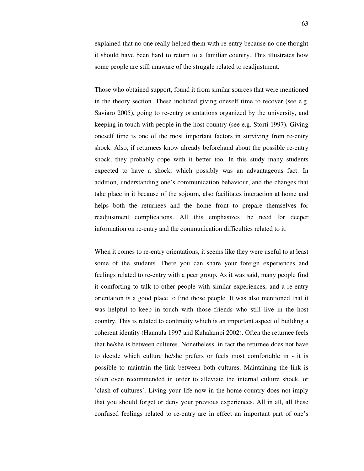explained that no one really helped them with re-entry because no one thought it should have been hard to return to a familiar country. This illustrates how some people are still unaware of the struggle related to readjustment.

Those who obtained support, found it from similar sources that were mentioned in the theory section. These included giving oneself time to recover (see e.g. Saviaro 2005), going to re-entry orientations organized by the university, and keeping in touch with people in the host country (see e.g. Storti 1997). Giving oneself time is one of the most important factors in surviving from re-entry shock. Also, if returnees know already beforehand about the possible re-entry shock, they probably cope with it better too. In this study many students expected to have a shock, which possibly was an advantageous fact. In addition, understanding one's communication behaviour, and the changes that take place in it because of the sojourn, also facilitates interaction at home and helps both the returnees and the home front to prepare themselves for readjustment complications. All this emphasizes the need for deeper information on re-entry and the communication difficulties related to it.

When it comes to re-entry orientations, it seems like they were useful to at least some of the students. There you can share your foreign experiences and feelings related to re-entry with a peer group. As it was said, many people find it comforting to talk to other people with similar experiences, and a re-entry orientation is a good place to find those people. It was also mentioned that it was helpful to keep in touch with those friends who still live in the host country. This is related to continuity which is an important aspect of building a coherent identity (Hannula 1997 and Kuhalampi 2002). Often the returnee feels that he/she is between cultures. Nonetheless, in fact the returnee does not have to decide which culture he/she prefers or feels most comfortable in - it is possible to maintain the link between both cultures. Maintaining the link is often even recommended in order to alleviate the internal culture shock, or 'clash of cultures'. Living your life now in the home country does not imply that you should forget or deny your previous experiences. All in all, all these confused feelings related to re-entry are in effect an important part of one's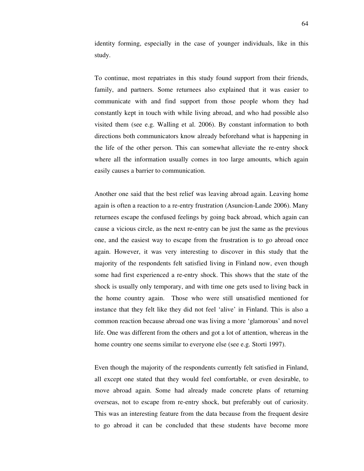identity forming, especially in the case of younger individuals, like in this study.

To continue, most repatriates in this study found support from their friends, family, and partners. Some returnees also explained that it was easier to communicate with and find support from those people whom they had constantly kept in touch with while living abroad, and who had possible also visited them (see e.g. Walling et al. 2006). By constant information to both directions both communicators know already beforehand what is happening in the life of the other person. This can somewhat alleviate the re-entry shock where all the information usually comes in too large amounts, which again easily causes a barrier to communication.

Another one said that the best relief was leaving abroad again. Leaving home again is often a reaction to a re-entry frustration (Asuncion-Lande 2006). Many returnees escape the confused feelings by going back abroad, which again can cause a vicious circle, as the next re-entry can be just the same as the previous one, and the easiest way to escape from the frustration is to go abroad once again. However, it was very interesting to discover in this study that the majority of the respondents felt satisfied living in Finland now, even though some had first experienced a re-entry shock. This shows that the state of the shock is usually only temporary, and with time one gets used to living back in the home country again. Those who were still unsatisfied mentioned for instance that they felt like they did not feel 'alive' in Finland. This is also a common reaction because abroad one was living a more 'glamorous' and novel life. One was different from the others and got a lot of attention, whereas in the home country one seems similar to everyone else (see e.g. Storti 1997).

Even though the majority of the respondents currently felt satisfied in Finland, all except one stated that they would feel comfortable, or even desirable, to move abroad again. Some had already made concrete plans of returning overseas, not to escape from re-entry shock, but preferably out of curiosity. This was an interesting feature from the data because from the frequent desire to go abroad it can be concluded that these students have become more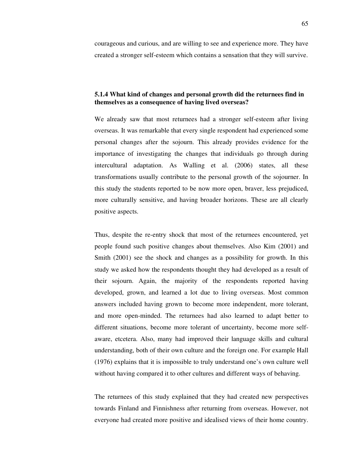courageous and curious, and are willing to see and experience more. They have created a stronger self-esteem which contains a sensation that they will survive.

## **5.1.4 What kind of changes and personal growth did the returnees find in themselves as a consequence of having lived overseas?**

We already saw that most returnees had a stronger self-esteem after living overseas. It was remarkable that every single respondent had experienced some personal changes after the sojourn. This already provides evidence for the importance of investigating the changes that individuals go through during intercultural adaptation. As Walling et al. (2006) states, all these transformations usually contribute to the personal growth of the sojourner. In this study the students reported to be now more open, braver, less prejudiced, more culturally sensitive, and having broader horizons. These are all clearly positive aspects.

Thus, despite the re-entry shock that most of the returnees encountered, yet people found such positive changes about themselves. Also Kim (2001) and Smith (2001) see the shock and changes as a possibility for growth. In this study we asked how the respondents thought they had developed as a result of their sojourn. Again, the majority of the respondents reported having developed, grown, and learned a lot due to living overseas. Most common answers included having grown to become more independent, more tolerant, and more open-minded. The returnees had also learned to adapt better to different situations, become more tolerant of uncertainty, become more selfaware, etcetera. Also, many had improved their language skills and cultural understanding, both of their own culture and the foreign one. For example Hall (1976) explains that it is impossible to truly understand one's own culture well without having compared it to other cultures and different ways of behaving.

The returnees of this study explained that they had created new perspectives towards Finland and Finnishness after returning from overseas. However, not everyone had created more positive and idealised views of their home country.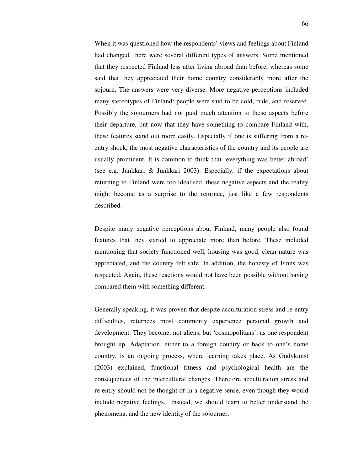When it was questioned how the respondents' views and feelings about Finland had changed, there were several different types of answers. Some mentioned that they respected Finland less after living abroad than before, whereas some said that they appreciated their home country considerably more after the sojourn. The answers were very diverse. More negative perceptions included many stereotypes of Finland: people were said to be cold, rude, and reserved. Possibly the sojourners had not paid much attention to these aspects before their departure, but now that they have something to compare Finland with, these features stand out more easily. Especially if one is suffering from a reentry shock, the most negative characteristics of the country and its people are usually prominent. It is common to think that 'everything was better abroad' (see e.g. Junkkari & Junkkari 2003). Especially, if the expectations about returning to Finland were too idealised, these negative aspects and the reality might become as a surprise to the returnee, just like a few respondents described.

Despite many negative perceptions about Finland, many people also found features that they started to appreciate more than before. These included mentioning that society functioned well, housing was good, clean nature was appreciated, and the country felt safe. In addition, the honesty of Finns was respected. Again, these reactions would not have been possible without having compared them with something different.

Generally speaking, it was proven that despite acculturation stress and re-entry difficulties, returnees most commonly experience personal growth and development. They become, not aliens, but 'cosmopolitans', as one respondent brought up. Adaptation, either to a foreign country or back to one's home country, is an ongoing process, where learning takes place. As Gudykunst (2003) explained, functional fitness and psychological health are the consequences of the intercultural changes. Therefore acculturation stress and re-entry should not be thought of in a negative sense, even though they would include negative feelings. Instead, we should learn to better understand the phenomena, and the new identity of the sojourner.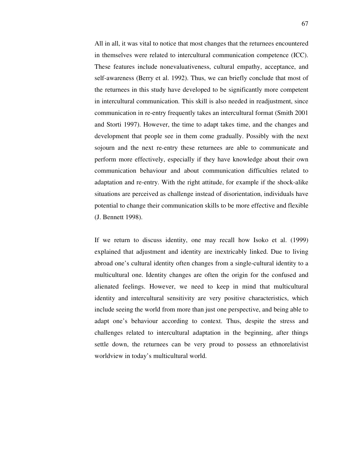All in all, it was vital to notice that most changes that the returnees encountered in themselves were related to intercultural communication competence (ICC). These features include nonevaluativeness, cultural empathy, acceptance, and self-awareness (Berry et al. 1992). Thus, we can briefly conclude that most of the returnees in this study have developed to be significantly more competent in intercultural communication. This skill is also needed in readjustment, since communication in re-entry frequently takes an intercultural format (Smith 2001 and Storti 1997). However, the time to adapt takes time, and the changes and development that people see in them come gradually. Possibly with the next sojourn and the next re-entry these returnees are able to communicate and perform more effectively, especially if they have knowledge about their own communication behaviour and about communication difficulties related to adaptation and re-entry. With the right attitude, for example if the shock-alike situations are perceived as challenge instead of disorientation, individuals have potential to change their communication skills to be more effective and flexible (J. Bennett 1998).

If we return to discuss identity, one may recall how Isoko et al. (1999) explained that adjustment and identity are inextricably linked. Due to living abroad one's cultural identity often changes from a single-cultural identity to a multicultural one. Identity changes are often the origin for the confused and alienated feelings. However, we need to keep in mind that multicultural identity and intercultural sensitivity are very positive characteristics, which include seeing the world from more than just one perspective, and being able to adapt one's behaviour according to context. Thus, despite the stress and challenges related to intercultural adaptation in the beginning, after things settle down, the returnees can be very proud to possess an ethnorelativist worldview in today's multicultural world.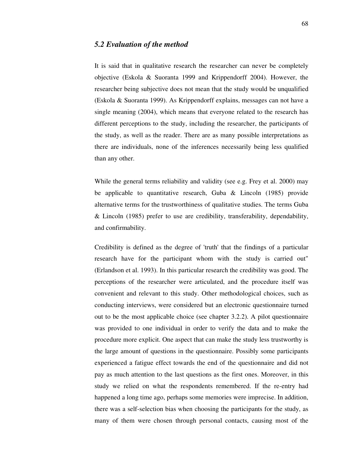### *5.2 Evaluation of the method*

It is said that in qualitative research the researcher can never be completely objective (Eskola & Suoranta 1999 and Krippendorff 2004). However, the researcher being subjective does not mean that the study would be unqualified (Eskola & Suoranta 1999). As Krippendorff explains, messages can not have a single meaning (2004), which means that everyone related to the research has different perceptions to the study, including the researcher, the participants of the study, as well as the reader. There are as many possible interpretations as there are individuals, none of the inferences necessarily being less qualified than any other.

While the general terms reliability and validity (see e.g. Frey et al. 2000) may be applicable to quantitative research, Guba & Lincoln (1985) provide alternative terms for the trustworthiness of qualitative studies. The terms Guba & Lincoln (1985) prefer to use are credibility, transferability, dependability, and confirmability.

Credibility is defined as the degree of 'truth' that the findings of a particular research have for the participant whom with the study is carried out" (Erlandson et al. 1993). In this particular research the credibility was good. The perceptions of the researcher were articulated, and the procedure itself was convenient and relevant to this study. Other methodological choices, such as conducting interviews, were considered but an electronic questionnaire turned out to be the most applicable choice (see chapter 3.2.2). A pilot questionnaire was provided to one individual in order to verify the data and to make the procedure more explicit. One aspect that can make the study less trustworthy is the large amount of questions in the questionnaire. Possibly some participants experienced a fatigue effect towards the end of the questionnaire and did not pay as much attention to the last questions as the first ones. Moreover, in this study we relied on what the respondents remembered. If the re-entry had happened a long time ago, perhaps some memories were imprecise. In addition, there was a self-selection bias when choosing the participants for the study, as many of them were chosen through personal contacts, causing most of the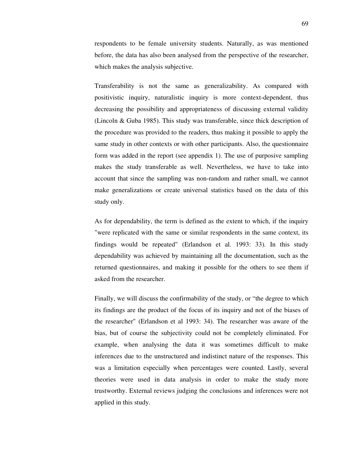respondents to be female university students. Naturally, as was mentioned before, the data has also been analysed from the perspective of the researcher, which makes the analysis subjective.

Transferability is not the same as generalizability. As compared with positivistic inquiry, naturalistic inquiry is more context-dependent, thus decreasing the possibility and appropriateness of discussing external validity (Lincoln & Guba 1985). This study was transferable, since thick description of the procedure was provided to the readers, thus making it possible to apply the same study in other contexts or with other participants. Also, the questionnaire form was added in the report (see appendix 1). The use of purposive sampling makes the study transferable as well. Nevertheless, we have to take into account that since the sampling was non-random and rather small, we cannot make generalizations or create universal statistics based on the data of this study only.

As for dependability, the term is defined as the extent to which, if the inquiry "were replicated with the same or similar respondents in the same context, its findings would be repeated" (Erlandson et al. 1993: 33). In this study dependability was achieved by maintaining all the documentation, such as the returned questionnaires, and making it possible for the others to see them if asked from the researcher.

Finally, we will discuss the confirmability of the study, or "the degree to which its findings are the product of the focus of its inquiry and not of the biases of the researcher" (Erlandson et al 1993: 34). The researcher was aware of the bias, but of course the subjectivity could not be completely eliminated. For example, when analysing the data it was sometimes difficult to make inferences due to the unstructured and indistinct nature of the responses. This was a limitation especially when percentages were counted. Lastly, several theories were used in data analysis in order to make the study more trustworthy. External reviews judging the conclusions and inferences were not applied in this study.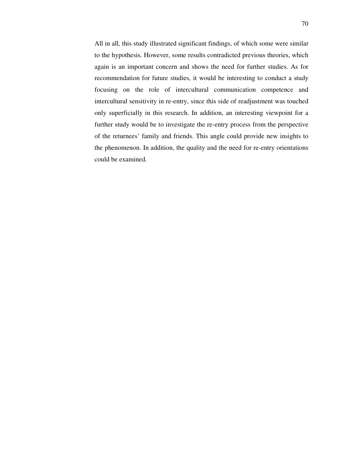All in all, this study illustrated significant findings, of which some were similar to the hypothesis. However, some results contradicted previous theories, which again is an important concern and shows the need for further studies. As for recommendation for future studies, it would be interesting to conduct a study focusing on the role of intercultural communication competence and intercultural sensitivity in re-entry, since this side of readjustment was touched only superficially in this research. In addition, an interesting viewpoint for a further study would be to investigate the re-entry process from the perspective of the returnees' family and friends. This angle could provide new insights to the phenomenon. In addition, the quality and the need for re-entry orientations could be examined.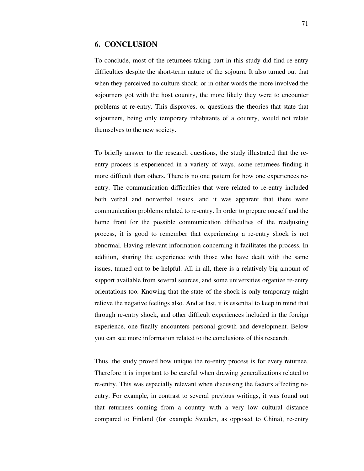### **6. CONCLUSION**

To conclude, most of the returnees taking part in this study did find re-entry difficulties despite the short-term nature of the sojourn. It also turned out that when they perceived no culture shock, or in other words the more involved the sojourners got with the host country, the more likely they were to encounter problems at re-entry. This disproves, or questions the theories that state that sojourners, being only temporary inhabitants of a country, would not relate themselves to the new society.

To briefly answer to the research questions, the study illustrated that the reentry process is experienced in a variety of ways, some returnees finding it more difficult than others. There is no one pattern for how one experiences reentry. The communication difficulties that were related to re-entry included both verbal and nonverbal issues, and it was apparent that there were communication problems related to re-entry. In order to prepare oneself and the home front for the possible communication difficulties of the readjusting process, it is good to remember that experiencing a re-entry shock is not abnormal. Having relevant information concerning it facilitates the process. In addition, sharing the experience with those who have dealt with the same issues, turned out to be helpful. All in all, there is a relatively big amount of support available from several sources, and some universities organize re-entry orientations too. Knowing that the state of the shock is only temporary might relieve the negative feelings also. And at last, it is essential to keep in mind that through re-entry shock, and other difficult experiences included in the foreign experience, one finally encounters personal growth and development. Below you can see more information related to the conclusions of this research.

Thus, the study proved how unique the re-entry process is for every returnee. Therefore it is important to be careful when drawing generalizations related to re-entry. This was especially relevant when discussing the factors affecting reentry. For example, in contrast to several previous writings, it was found out that returnees coming from a country with a very low cultural distance compared to Finland (for example Sweden, as opposed to China), re-entry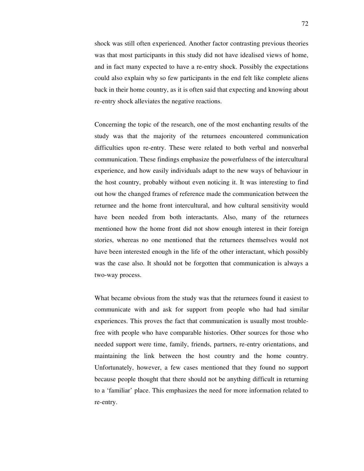shock was still often experienced. Another factor contrasting previous theories was that most participants in this study did not have idealised views of home, and in fact many expected to have a re-entry shock. Possibly the expectations could also explain why so few participants in the end felt like complete aliens back in their home country, as it is often said that expecting and knowing about re-entry shock alleviates the negative reactions.

Concerning the topic of the research, one of the most enchanting results of the study was that the majority of the returnees encountered communication difficulties upon re-entry. These were related to both verbal and nonverbal communication. These findings emphasize the powerfulness of the intercultural experience, and how easily individuals adapt to the new ways of behaviour in the host country, probably without even noticing it. It was interesting to find out how the changed frames of reference made the communication between the returnee and the home front intercultural, and how cultural sensitivity would have been needed from both interactants. Also, many of the returnees mentioned how the home front did not show enough interest in their foreign stories, whereas no one mentioned that the returnees themselves would not have been interested enough in the life of the other interactant, which possibly was the case also. It should not be forgotten that communication is always a two-way process.

What became obvious from the study was that the returnees found it easiest to communicate with and ask for support from people who had had similar experiences. This proves the fact that communication is usually most troublefree with people who have comparable histories. Other sources for those who needed support were time, family, friends, partners, re-entry orientations, and maintaining the link between the host country and the home country. Unfortunately, however, a few cases mentioned that they found no support because people thought that there should not be anything difficult in returning to a 'familiar' place. This emphasizes the need for more information related to re-entry.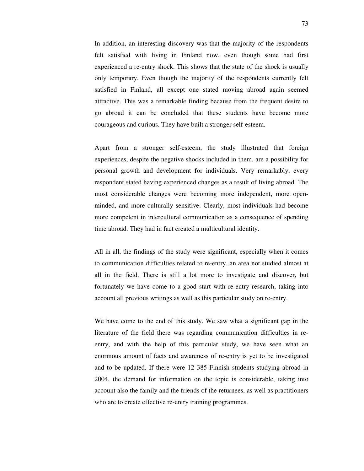In addition, an interesting discovery was that the majority of the respondents felt satisfied with living in Finland now, even though some had first experienced a re-entry shock. This shows that the state of the shock is usually only temporary. Even though the majority of the respondents currently felt satisfied in Finland, all except one stated moving abroad again seemed attractive. This was a remarkable finding because from the frequent desire to go abroad it can be concluded that these students have become more courageous and curious. They have built a stronger self-esteem.

Apart from a stronger self-esteem, the study illustrated that foreign experiences, despite the negative shocks included in them, are a possibility for personal growth and development for individuals. Very remarkably, every respondent stated having experienced changes as a result of living abroad. The most considerable changes were becoming more independent, more openminded, and more culturally sensitive. Clearly, most individuals had become more competent in intercultural communication as a consequence of spending time abroad. They had in fact created a multicultural identity.

All in all, the findings of the study were significant, especially when it comes to communication difficulties related to re-entry, an area not studied almost at all in the field. There is still a lot more to investigate and discover, but fortunately we have come to a good start with re-entry research, taking into account all previous writings as well as this particular study on re-entry.

We have come to the end of this study. We saw what a significant gap in the literature of the field there was regarding communication difficulties in reentry, and with the help of this particular study, we have seen what an enormous amount of facts and awareness of re-entry is yet to be investigated and to be updated. If there were 12 385 Finnish students studying abroad in 2004, the demand for information on the topic is considerable, taking into account also the family and the friends of the returnees, as well as practitioners who are to create effective re-entry training programmes.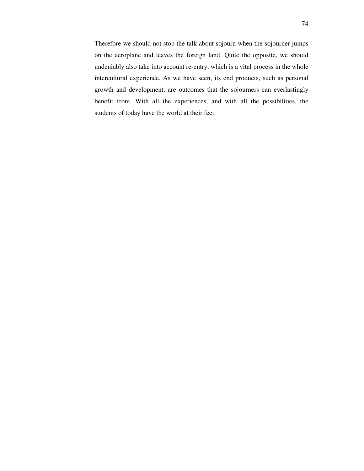Therefore we should not stop the talk about sojourn when the sojourner jumps on the aeroplane and leaves the foreign land. Quite the opposite, we should undeniably also take into account re-entry, which is a vital process in the whole intercultural experience. As we have seen, its end products, such as personal growth and development, are outcomes that the sojourners can everlastingly benefit from. With all the experiences, and with all the possibilities, the students of today have the world at their feet.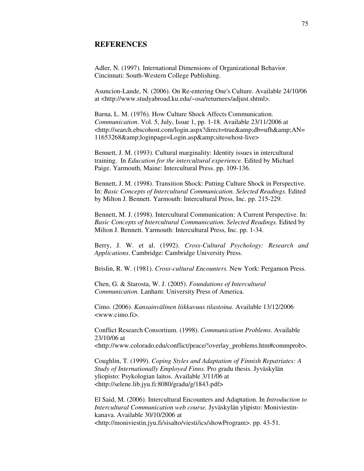## **REFERENCES**

Adler, N. (1997). International Dimensions of Organizational Behavior. Cincinnati: South-Western College Publishing.

Asuncion-Lande, N*.* (2006). On Re-entering One's Culture. Available 24/10/06 at <http://www.studyabroad.ku.edu/~osa/returnees/adjust.shtml>.

Barna, L. M. (1976). How Culture Shock Affects Communication. *Communication*. Vol. 5, July, Issue 1, pp. 1-18. Available 23/11/2006 at <http://search.ebscohost.com/login.aspx?direct=true&amp;db=ufh&amp;AN= 11653268&loginpage=Login.asp&site=ehost-live>

Bennett, J. M. (1993). Cultural marginality: Identity issues in intercultural training. In *Education for the intercultural experience.* Edited by Michael Paige. Yarmouth, Maine: Intercultural Press. pp. 109-136.

Bennett, J. M. (1998). Transition Shock: Putting Culture Shock in Perspective. In: *Basic Concepts of Intercultural Communication. Selected Readings.* Edited by Milton J. Bennett. Yarmouth: Intercultural Press, Inc. pp. 215-229.

Bennett, M. J. (1998). Intercultural Communication: A Current Perspective. In: *Basic Concepts of Intercultural Communication. Selected Readings.* Edited by Milton J. Bennett. Yarmouth: Intercultural Press, Inc. pp. 1-34.

Berry, J. W. et al. (1992). *Cross-Cultural Psychology: Research and Applications*. Cambridge: Cambridge University Press.

Brislin, R. W. (1981). *Cross-cultural Encounters.* New York: Pergamon Press.

Chen, G. & Starosta, W. J. (2005). *Foundations of Intercultural Communication.* Lanham: University Press of America.

Cimo. (2006). *Kansainvälinen liikkuvuus tilastoina.* Available 13/12/2006 <www.cimo.fi>.

Conflict Research Consortium. (1998). *Communication Problems*. Available 23/10/06 at <http://www.colorado.edu/conflict/peace/!overlay\_problems.htm#commprob>.

Coughlin, T. (1999). *Coping Styles and Adaptation of Finnish Repatriates: A Study of Internationally Employed Finns.* Pro gradu thesis. Jyväskylän yliopisto: Psykologian laitos. Available 3/11/06 at <http://selene.lib.jyu.fi:8080/gradu/g/1843.pdf>

El Said, M. (2006). Intercultural Encounters and Adaptation. In *Introduction to Intercultural Communication web course.* Jyväskylän ylipisto: Moniviestinkanava. Available 30/10/2006 at <http://moniviestin.jyu.fi/sisalto/viesti/ics/showProgram>. pp. 43-51.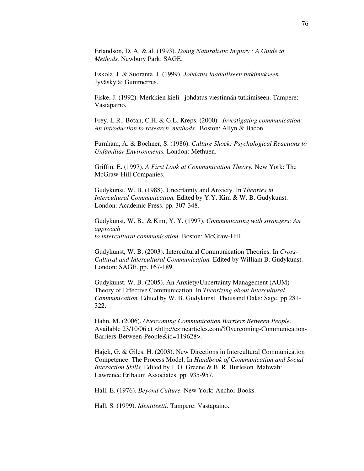Erlandson, D. A. & al. (1993). *Doing Naturalistic Inquiry : A Guide to Methods.* Newbury Park: SAGE.

Eskola, J. & Suoranta, J. (1999). *Johdatus laadulliseen tutkimukseen.* Jyväskylä: Gummerrus.

Fiske, J. (1992). Merkkien kieli : johdatus viestinnän tutkimiseen. Tampere: Vastapaino.

Frey, L.R., Botan, C.H. & G.L. Kreps. (2000). *Investigating communication: An introduction to research methods*. Boston: Allyn & Bacon.

Furnham, A. & Bochner, S. (1986). *Culture Shock: Psychological Reactions to Unfamiliar Environments.* London: Methuen.

Griffin, E. (1997). *A First Look at Communication Theory.* New York: The McGraw-Hill Companies.

Gudykunst, W. B. (1988). Uncertainty and Anxiety. In *Theories in Intercultural Communication.* Edited by Y.Y. Kim & W. B. Gudykunst. London: Academic Press. pp. 307-348.

Gudykunst, W. B., & Kim, Y. Y. (1997). *Communicating with strangers: An approach to intercultural communication*. Boston: McGraw-Hill.

Gudykunst, W. B. (2003). Intercultural Communication Theories. In *Cross-Cultural and Intercultural Communication.* Edited by William B. Gudykunst. London: SAGE. pp. 167-189.

Gudykunst, W. B. (2005). An Anxiety/Uncertainty Management (AUM) Theory of Effective Communication. In *Theorizing about Intercultural Communication.* Edited by W. B. Gudykunst. Thousand Oaks: Sage. pp 281- 322.

Hahn, M. (2006). *Overcoming Communication Barriers Between People.*  Available 23/10/06 at <http://ezinearticles.com/?Overcoming-Communication-Barriers-Between-People&id=119628>.

Hajek, G. & Giles, H. (2003). New Directions in Intercultural Communication Competence: The Process Model. In *Handbook of Communication and Social Interaction Skills.* Edited by J. O. Greene & B. R. Burleson. Mahwah: Lawrence Erlbaum Associates. pp. 935-957.

Hall, E. (1976). *Beyond Culture.* New York: Anchor Books.

Hall, S. (1999). *Identiteetti.* Tampere: Vastapaino.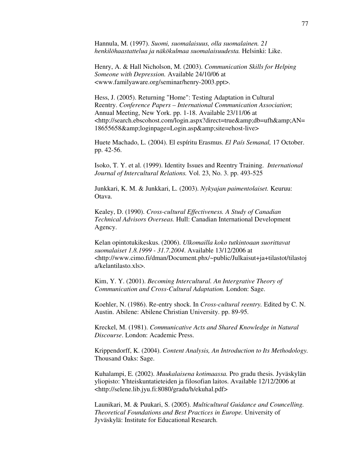Hannula, M. (1997). *Suomi, suomalaisuus, olla suomalainen. 21 henkilöhaastattelua ja näkökulmaa suomalaisuudesta.* Helsinki: Like.

Henry, A. & Hall Nicholson, M. (2003). *Communication Skills for Helping Someone with Depression.* Available 24/10/06 at <www.familyaware.org/seminar/henry-2003.ppt>.

Hess, J. (2005). Returning "Home": Testing Adaptation in Cultural Reentry. *Conference Papers – International Communication Association*; Annual Meeting, New York. pp. 1-18. Available 23/11/06 at <http://search.ebscohost.com/login.aspx?direct=true&amp;db=ufh&amp;AN= 18655658&amp:loginpage=Login.asp&amp:site=ehost-live>

Huete Machado, L. (2004). El espíritu Erasmus. *El País Semanal,* 17 October. pp. 42-56.

Isoko, T. Y. et al. (1999). Identity Issues and Reentry Training. *International Journal of Intercultural Relations.* Vol. 23, No. 3. pp. 493-525

Junkkari, K. M. & Junkkari, L. (2003). *Nykyajan paimentolaiset.* Keuruu: Otava.

Kealey, D. (1990). *Cross-cultural Effectiveness. A Study of Canadian Technical Advisors Overseas.* Hull: Canadian International Development Agency.

Kelan opintotukikeskus. (2006). *Ulkomailla koko tutkintoaan suorittavat suomalaiset 1.8.1999 - 31.7.2004*. Available 13/12/2006 at <http://www.cimo.fi/dman/Document.phx/~public/Julkaisut+ja+tilastot/tilastoj a/kelantilasto.xls>.

Kim, Y. Y. (2001). *Becoming Intercultural. An Intergrative Theory of Communication and Cross-Cultural Adaptation.* London: Sage.

Koehler, N. (1986). Re-entry shock. In *Cross-cultural reentry.* Edited by C. N. Austin. Abilene: Abilene Christian University. pp. 89-95.

Kreckel, M. (1981). *Communicative Acts and Shared Knowledge in Natural Discourse*. London: Academic Press.

Krippendorff, K. (2004). *Content Analysis, An Introduction to Its Methodology.*  Thousand Oaks: Sage.

Kuhalampi, E. (2002). *Muukalaisena kotimaassa.* Pro gradu thesis. Jyväskylän yliopisto: Yhteiskuntatieteiden ja filosofian laitos. Available 12/12/2006 at <http://selene.lib.jyu.fi:8080/gradu/h/ekuhal.pdf>

Launikari, M. & Puukari, S. (2005). *Multicultural Guidance and Councelling. Theoretical Foundations and Best Practices in Europe.* University of Jyväskylä: Institute for Educational Research.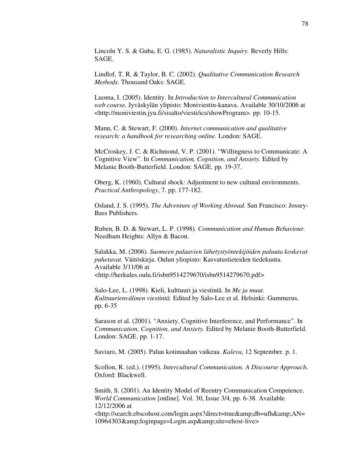Lincoln Y. S. & Guba, E. G. (1985). *Naturalistic Inquiry.* Beverly Hills: SAGE.

Lindlof, T. R. & Taylor, B. C. (2002). *Qualitative Communication Research Methods.* Thousand Oaks: SAGE.

Luoma, I. (2005). Identity. In *Introduction to Intercultural Communication web course.* Jyväskylän ylipisto: Moniviestin-kanava. Available 30/10/2006 at <http://moniviestin.jyu.fi/sisalto/viesti/ics/showProgram>. pp. 10-15.

Mann, C. & Stewart, F. (2000). *Internet communication and qualitative research: a handbook for researching online.* London: SAGE.

McCroskey, J. C. & Richmond, V. P. (2001). "Willingness to Communicate: A Cognitive View". In *Communication, Cognition, and Anxiety.* Edited by Melanie Booth-Butterfield. London: SAGE. pp. 19-37.

Oberg, K. (1960). Cultural shock: Adjustment to new cultural environments. *Practical Anthropology*, 7. pp. 177-182.

Osland, J. S. (1995). *The Adventure of Working Abroad.* San Francisco: Jossey-Bass Publishers.

Ruben, B. D. & Stewart, L. P. (1998). *Communication and Human Behaviour.*  Needham Heights: Allyn & Bacon.

Salakka, M. (2006). *Suomeen palaavien lähetystyöntekijöiden paluuta koskevat puhetavat.* Väitöskirja. Oulun yliopisto: Kasvatustieteiden tiedekunta. Available 3/11/06 at <http://herkules.oulu.fi/isbn9514279670/isbn9514279670.pdf>

Salo-Lee, L. (1998). Kieli, kulttuuri ja viestintä. In *Me ja muut. Kulttuurienvälinen viestintä.* Edited by Salo-Lee et al. Helsinki: Gummerus. pp. 6-35

Sarason et al. (2001). "Anxiety, Cognitive Interference, and Performance". In *Communication, Cognition, and Anxiety.* Edited by Melanie Booth-Butterfield. London: SAGE. pp. 1-17.

Saviaro, M. (2005). Paluu kotimaahan vaikeaa*. Kaleva,* 12 September. p. 1.

Scollon, R. (ed.). (1995). *Intercultural Communication. A Discourse Approach*. Oxford: Blackwell.

Smith, S. (2001). An Identity Model of Reentry Communication Competence. *World Communication* [online]. Vol. 30, Issue 3/4, pp. 6-38. Available 12/12/2006 at

<http://search.ebscohost.com/login.aspx?direct=true&amp;db=ufh&amp;AN= 10964303&loginpage=Login.asp&site=ehost-live>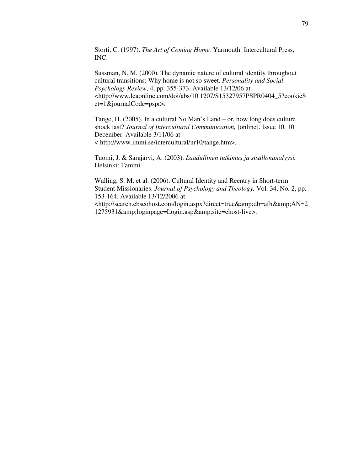Storti, C. (1997). *The Art of Coming Home.* Yarmouth: Intercultural Press, INC.

Sussman, N. M. (2000). The dynamic nature of cultural identity throughout cultural transitions: Why home is not so sweet. *Personality and Social Psychology Review*, 4, pp. 355-373. Available 13/12/06 at <http://www.leaonline.com/doi/abs/10.1207/S15327957PSPR0404\_5?cookieS et=1&journalCode=pspr>.

Tange, H. (2005). In a cultural No Man's Land – or, how long does culture shock last? *Journal of Intercultural Communication,* [online]. Issue 10, 10 December. Available 3/11/06 at < http://www.immi.se/intercultural/nr10/tange.htm>.

Tuomi, J. & Sarajärvi, A. (2003). *Laadullinen tutkimus ja sisällönanalyysi.* Helsinki: Tammi.

Walling, S. M. et al. (2006). Cultural Identity and Reentry in Short-term Student Missionaries. *Journal of Psychology and Theology,* Vol. 34, No. 2, pp. 153-164. Available 13/12/2006 at <http://search.ebscohost.com/login.aspx?direct=true&amp:db=afh&amp:AN=2 1275931&loginpage=Login.asp&site=ehost-live>.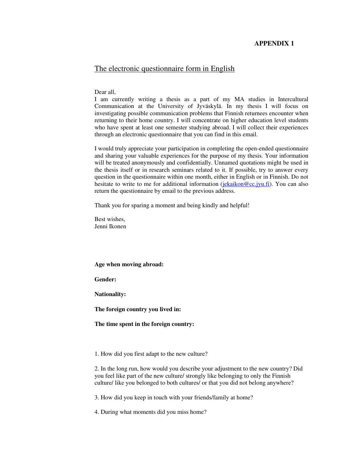## **APPENDIX 1**

## The electronic questionnaire form in English

Dear all,

I am currently writing a thesis as a part of my MA studies in Intercultural Communication at the University of Jyväskylä. In my thesis I will focus on investigating possible communication problems that Finnish returnees encounter when returning to their home country. I will concentrate on higher education level students who have spent at least one semester studying abroad. I will collect their experiences through an electronic questionnaire that you can find in this email.

I would truly appreciate your participation in completing the open-ended questionnaire and sharing your valuable experiences for the purpose of my thesis. Your information will be treated anonymously and confidentially. Unnamed quotations might be used in the thesis itself or in research seminars related to it. If possible, try to answer every question in the questionnaire within one month, either in English or in Finnish. Do not hesitate to write to me for additional information (jekaikon@cc.jyu.fi). You can also return the questionnaire by email to the previous address.

Thank you for sparing a moment and being kindly and helpful!

Best wishes, Jenni Ikonen

**Age when moving abroad:** 

**Gender:** 

**Nationality:** 

**The foreign country you lived in:** 

**The time spent in the foreign country:** 

1. How did you first adapt to the new culture?

2. In the long run, how would you describe your adjustment to the new country? Did you feel like part of the new culture/ strongly like belonging to only the Finnish culture/ like you belonged to both cultures/ or that you did not belong anywhere?

3. How did you keep in touch with your friends/family at home?

4. During what moments did you miss home?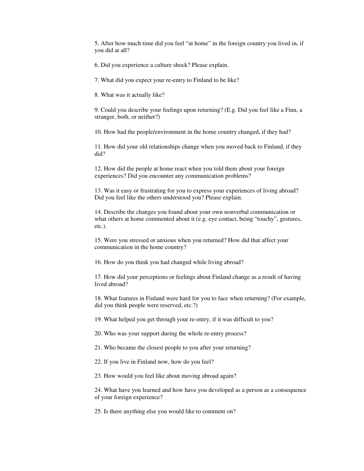5. After how much time did you feel "at home" in the foreign country you lived in, if you did at all?

6. Did you experience a culture shock? Please explain.

7. What did you expect your re-entry to Finland to be like?

8. What was it actually like?

9. Could you describe your feelings upon returning? (E.g. Did you feel like a Finn, a stranger, both, or neither?)

10. How had the people/environment in the home country changed, if they had?

11. How did your old relationships change when you moved back to Finland, if they did?

12. How did the people at home react when you told them about your foreign experiences? Did you encounter any communication problems?

13. Was it easy or frustrating for you to express your experiences of living abroad? Did you feel like the others understood you? Please explain.

14. Describe the changes you found about your own nonverbal communication or what others at home commented about it (e.g. eye contact, being "touchy", gestures, etc.).

15. Were you stressed or anxious when you returned? How did that affect your communication in the home country?

16. How do you think you had changed while living abroad?

17. How did your perceptions or feelings about Finland change as a result of having lived abroad?

18. What features in Finland were hard for you to face when returning? (For example, did you think people were reserved, etc.?)

19. What helped you get through your re-entry, if it was difficult to you?

20. Who was your support during the whole re-entry process?

21. Who became the closest people to you after your returning?

22. If you live in Finland now, how do you feel?

23. How would you feel like about moving abroad again?

24. What have you learned and how have you developed as a person as a consequence of your foreign experience?

25. Is there anything else you would like to comment on?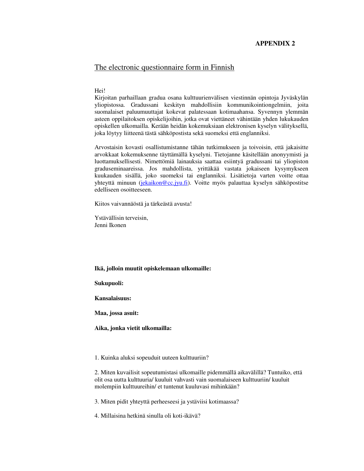### **APPENDIX 2**

# The electronic questionnaire form in Finnish

#### Hei!

Kirjoitan parhaillaan gradua osana kulttuurienvälisen viestinnän opintoja Jyväskylän yliopistossa. Gradussani keskityn mahdollisiin kommunikointiongelmiin, joita suomalaiset paluumuuttajat kokevat palatessaan kotimaahansa. Syvennyn ylemmän asteen oppilaitoksen opiskelijoihin, jotka ovat viettäneet vähintään yhden lukukauden opiskellen ulkomailla. Kerään heidän kokemuksiaan elektronisen kyselyn välityksellä, joka löytyy liitteenä tästä sähköpostista sekä suomeksi että englanniksi.

Arvostaisin kovasti osallistumistanne tähän tutkimukseen ja toivoisin, että jakaisitte arvokkaat kokemuksenne täyttämällä kyselyni. Tietojanne käsitellään anonyymisti ja luottamuksellisesti. Nimettömiä lainauksia saattaa esiintyä gradussani tai yliopiston graduseminaareissa. Jos mahdollista, yrittäkää vastata jokaiseen kysymykseen kuukauden sisällä, joko suomeksi tai englanniksi. Lisätietoja varten voitte ottaa yhteyttä minuun (jekaikon@cc.jyu.fi). Voitte myös palauttaa kyselyn sähköpostitse edelliseen osoitteeseen.

Kiitos vaivannäöstä ja tärkeästä avusta!

Ystävällisin terveisin, Jenni Ikonen

#### **Ikä, jolloin muutit opiskelemaan ulkomaille:**

### **Sukupuoli:**

**Kansalaisuus:** 

**Maa, jossa asuit:** 

**Aika, jonka vietit ulkomailla:** 

1. Kuinka aluksi sopeuduit uuteen kulttuuriin?

2. Miten kuvailisit sopeutumistasi ulkomaille pidemmällä aikavälillä? Tuntuiko, että olit osa uutta kulttuuria/ kuuluit vahvasti vain suomalaiseen kulttuuriin/ kuuluit molempiin kulttuureihin/ et tuntenut kuuluvasi mihinkään?

3. Miten pidit yhteyttä perheeseesi ja ystäviisi kotimaassa?

4. Millaisina hetkinä sinulla oli koti-ikävä?